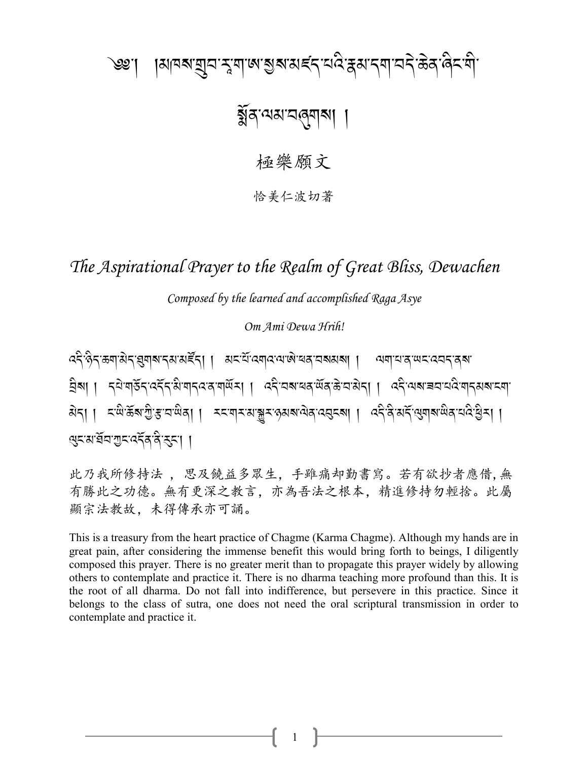# ।ঝনৰায়ুনম্মুশজাম্ভৰামৰ্শিনবিদ্ধাৰ্শনীতি ক্ৰিকি ও্গু'।

# য়ুঁৰ'ঝম'নৰ্নামা

極樂願文

恰美仁波切著

The Aspirational Prayer to the Realm of Great Bliss, Dewachen

Composed by the learned and accomplished Raga Asye

Om Ami Dewa Hrih!

ददे हेद ऊषाअेद झुषाबादवा वर्हेदा । अदधे दबाद वाखे खतावबवा । व्यवादात खतरदवदातबा ব্রিষা । ব্রম্বার্ত্তব্দের্ষ্ট শাব্দের শর্মান। দ্রবিষ্মের উত্তর উত্তর বিবা । দ্রবিষ্মের শাব্দের বিদ্যা बेना । दखेऊँबागुः सुवाखेना । स्वयासकाञ्चरकुबबालेनादवुदबा । ददेविं बार्दे सुवाबाखेनादादेखुसा । থনমার্ঘল শ্রন্থ প্রব্রন্থ ।

此乃我所修持法, 思及饒益多眾生, 手雖痛却勤書寫。若有欲抄者應借, 無 有勝此之功德。無有更深之教言,亦為吾法之根本,精進修持勿輕捨。此屬 顯宗法教故,未得傳承亦可誦。

This is a treasury from the heart practice of Chagme (Karma Chagme). Although my hands are in great pain, after considering the immense benefit this would bring forth to beings, I diligently composed this prayer. There is no greater merit than to propagate this prayer widely by allowing others to contemplate and practice it. There is no dharma teaching more profound than this. It is the root of all dharma. Do not fall into indifference, but persevere in this practice. Since it belongs to the class of sutra, one does not need the oral scriptural transmission in order to contemplate and practice it.

1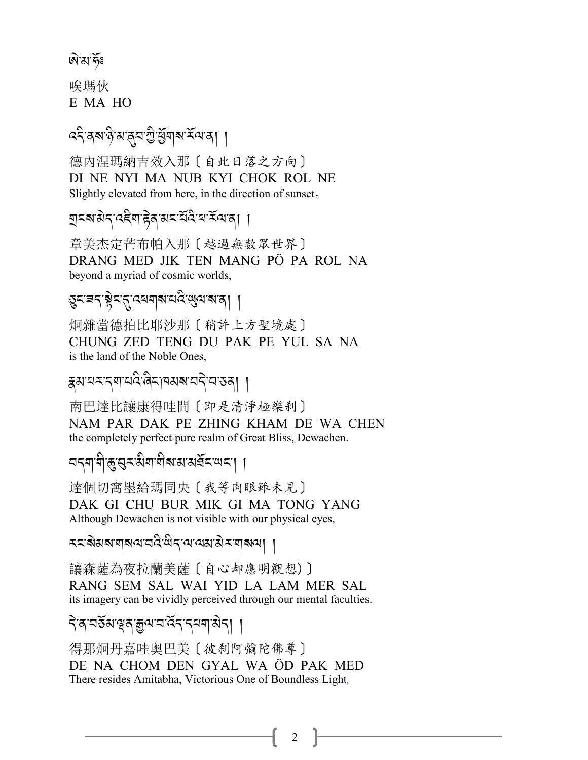#### <u>ৰৌ</u>'ম'ৰ্কঃ

唉瑪伙 E MA HO

### ৎবিৰুষণ্টখন্ত্ৰ শ্ৰীৰ্শ্ভিশৰাৰ্শ কৰা

德内涅瑪納吉效入那〔自此日落之方向〕 DI NE NYI MA NUB KYI CHOK ROL NE Slightly elevated from here, in the direction of sunset,

गुदबासेद दद्देवा हेव सदसेंदिय रें वा वा

章美杰定芒布帕入那〔越過無数眾世界〕 DRANG MED JIK TEN MANG PÖ PA ROL NA beyond a myriad of cosmic worlds,

## ङ्कट् बर् ब्लेटर् दिल्ला र पुरु लेखा ।

炯雜當德拍比耶沙那〔稍許上方聖境處〕 CHUNG ZED TENG DU PAK PE YUL SA NA is the land of the Noble Ones,

ङ्गयासायये बिरानसबायने या स्वा ।

南巴達比讓康得哇間〔即是清淨極樂刹〕 NAM PAR DAK PE ZHING KHAM DE WA CHEN the completely perfect pure realm of Great Bliss, Dewachen.

নব্যাণীভূত্ত্বৰ মিশাশীৰ মামৰ্ঘৰ অব্যা

達個切窩墨給瑪同央〔我等肉眼雖未見〕 DAK GI CHU BUR MIK GI MA TONG YANG Although Dewachen is not visible with our physical eyes,

*ম*মেমৰাৰান্য নহিত্ৰীৰ বেৰোপ্ৰায় কৰা বিদ্যা

讓森薩為夜拉蘭美薩〔自心却應明觀想)〕 RANG SEM SAL WAI YID LA LAM MER SAL its imagery can be vividly perceived through our mental faculties.

### <u>देअप्रदेशक्षेत्रक्षलप्रदर्शन्तवासेता ।</u>

得那炯丹嘉哇奥巴美〔彼刹阿彌陀佛尊〕 DE NA CHOM DEN GYAL WA ÖD PAK MED There resides Amitabha, Victorious One of Boundless Light,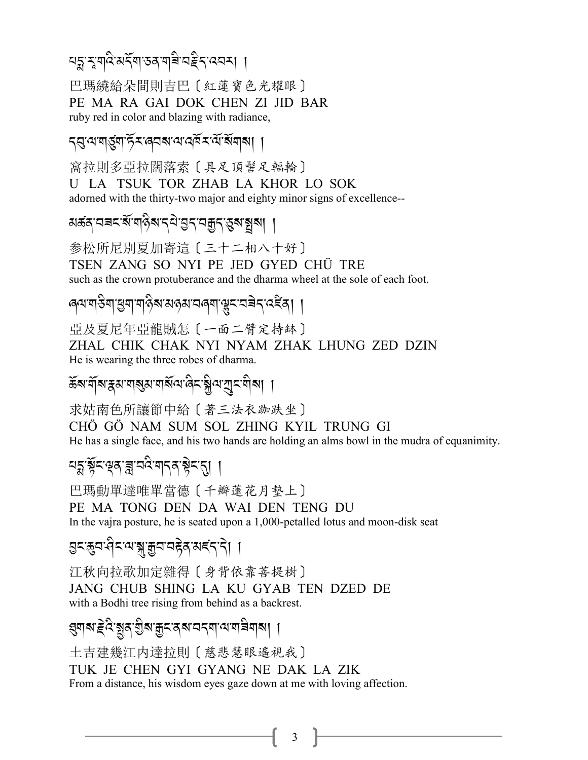ঘহ্ন মুম্বি মর্মি তর মান্নি অইন বেন ।

巴瑪繞給朵間則吉巴〔紅蓮寶色光耀眼〕 PE MA RA GAI DOK CHEN ZI JID BAR ruby red in color and blazing with radiance,

ব্র্যামার্ত্ত্বার্ট্স জবৰা অন্ত্র্স র্যার্ষাবাৰা ।

窩拉則多亞拉闊落索〔具足頂髻足輻輪〕 U LA TSUK TOR ZHAB LA KHOR LO SOK adorned with the thirty-two major and eighty minor signs of excellence--

য়ৼ্থপ্রবাদ্রুদ্রান্ত্র বিদ্রোপ্রা প্রায়া ।

参松所尼別夏加寄這〔三十二相八十好〕 TSEN ZANG SO NYI PE JED GYED CHÜ TRE such as the crown protuberance and the dharma wheel at the sole of each foot.

ৰেশশ্বিশ'শ্ৰুশ'শৰ্ওৰ অন্তম'নৰ্শ'শ্লুম'নৰ্মন'ৰ্যইৰ্। ।

亞及夏尼年亞龍賊怎 [一面二臂定持鉢] ZHAL CHIK CHAK NYI NYAM ZHAK LHUNG ZED DZIN He is wearing the three robes of dharma.

ക്ষণীৰ স্থানৰ স্বাস্থ্য সম্বন্দে বিদ্ৰাষ্ট্ৰণ ব্যাদি বিদ্যা

求姑南色所讓節中給〔著三法衣跏趺坐〕

CHÖ GÖ NAM SUM SOL ZHING KYIL TRUNG GI

He has a single face, and his two hands are holding an alms bowl in the mudra of equanimity.

### यङ्गञ्जूँद'वृत्'च्च'वदे'गदत'ञ्चेद'त्। ।

巴瑪動單達唯單當德〔千瓣蓮花月墊上〕 PE MA TONG DEN DA WAI DEN TENG DU In the vajra posture, he is seated upon a 1,000-petalled lotus and moon-disk seat

*ञ्च*द्भय सैद्र सञ्जल क्षय वहेन् अद्दंद दे। ।

江秋向拉歌加定雜得〔身背依靠菩提樹〕 JANG CHUB SHING LA KU GYAB TEN DZED DE with a Bodhi tree rising from behind as a backrest.

*য়৽*ঢ়য়৸ৼঢ়ড়৻ৼঀৗ৸ৼঢ়ড়৸ড়৸ড়৸৸

土吉建幾江内達拉則〔慈悲慧眼遙視我〕 TUK JE CHEN GYI GYANG NE DAK LA ZIK From a distance, his wisdom eyes gaze down at me with loving affection.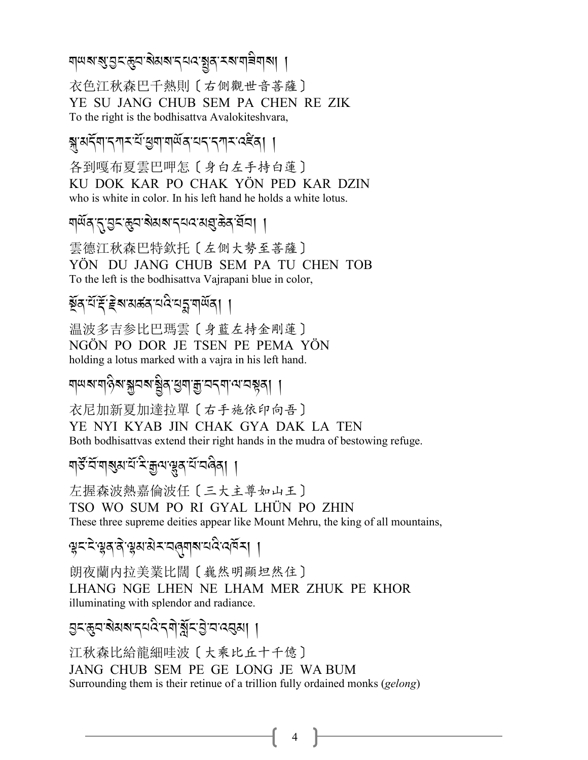শলৰ প্ৰাপ্ত - প্ৰাপ্ত - স্পত্ৰ স্পত্ৰ স্পত্ৰ স্পত্ৰ স্পত্ৰ স্পত্ৰ স্পত্ৰ স্পত্ৰ স্পত্ৰ স্পত্ৰ স্পত্ৰ স্পত্ৰ স্প<br>শ .<br>. .<br>.<br>.

衣色江秋森巴千熱則〔右側觀世音菩薩〕 YE SU JANG CHUB SEM PA CHEN RE ZIK To the right is the bodhisattva Avalokiteshvara,

স্কুষর্দ্<sup>র</sup>দ্মসমূহ বিদ্রোপণি বিদ্যালয় স্বাৰ্থ প্রায় কৰি সম্পৰ্ক স্বাৰ্থ প্রায় কৰি সম্পৰ্ক স্বাৰ্থ প্রায় কৰ<br>স্বাৰ্থ প্রায় কৰি সম্পৰ্ক স্বাৰ্থ প্রায় কৰি সম্পৰ্ক স্বাৰ্থ প্রায় কৰি সম্পৰ্ক স্বাৰ্থ প্রায় কৰি সম্পৰ্ক

各到嘎布夏雲巴呷怎〔身白左手持白蓮〕 KU DOK KAR PO CHAK YÖN PED KAR DZIN who is white in color. In his left hand he holds a white lotus.

শ<sup>্</sup>র্য্র/-র্<sup>2</sup>ন্ঞ্র-ব্রুপ্রার্থ্য-প্রার্থ্য-পূর্ণ /

雲德江秋森巴特欽托〔左側大勢至菩薩〕 YÖN DU JANG CHUB SEM PA TU CHEN TOB To the left is the bodhisattva Vajrapani blue in color,

মূৰ্*ব*্দ্ৰই হুৰ্ম মৰ্ক্কৰ্ মন্ত্ৰীয় বিদ্যালয় |

温波多吉参比巴瑪雲〔身藍左持金剛蓮〕 NGÖN PO DOR JE TSEN PE PEMA YÖN holding a lotus marked with a vajra in his left hand.

ম্<sup>লৱে</sup>মৰ্টি সম্ভিত স্পৰ্ট সম্প্ৰাণ্য সম্ভিত্ .<br>.

衣尼加新夏加達拉單〔右手施依印向吾〕

YE NYI KYAB JIN CHAK GYA DAK LA TEN Both bodhisattvas extend their right hands in the mudra of bestowing refuge.

শ্রু<sub>-ই</sub>য়ে ব্যাই-প্রিল, প্রিপ্রান্ড বিভিন্ন ( .<br>.

左握森波熱嘉倫波任〔三大主尊如山王〕 TSO WO SUM PO RI GYAL LHÜN PO ZHIN These three supreme deities appear like Mount Mehru, the king of all mountains,

*z% -%* J*-z/-/* J*-z3-3* J*<-2*8*\$?-0:* A*-:#*R*<*,,

朗夜蘭内拉美業比闊〔巍然明顯坦然住〕 LHANG NGE LHEN NE LHAM MER ZHUK PE KHOR illuminating with splendor and radiance.

*L% -*(*2-?* J*3?-.0: -.\$* J*-a*R*%-L* J*-2-:*2*3*,, A<br>A<br>A

江秋森比給龍細哇波〔大乘比丘十千億〕 JANG CHUB SEM PE GE LONG JE WA BUM Surrounding them is their retinue of a trillion fully ordained monks (*gelong*)

4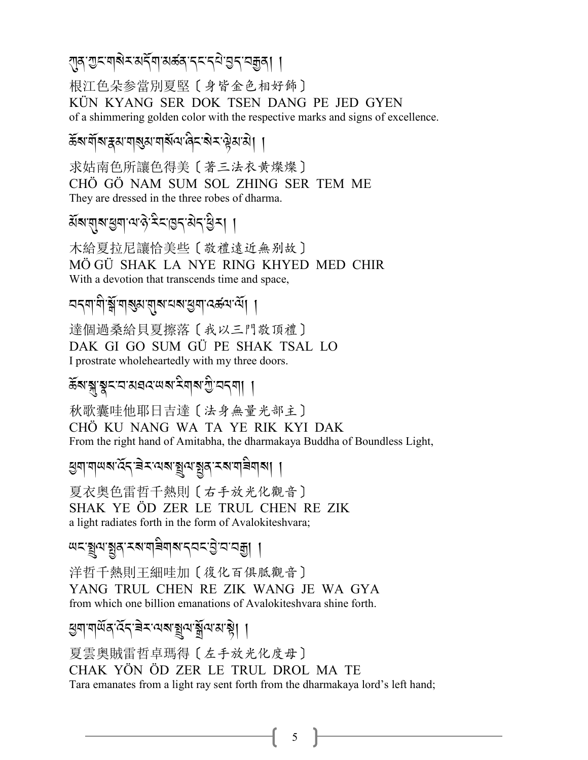根江色朵参當別夏堅〔身皆金色相好飾〕 KÜN KYANG SER DOK TSEN DANG PE JED GYEN of a shimmering golden color with the respective marks and signs of excellence.

ॾॕॺॱॺॕऻॺॱ<sub>ऄॕ</sub>ॺॱॺऻॷॺॱॺऻॺऀ॔ॺॱऀॿड़ॱऄॸॱऄॗॺॱऄ**ॎ** 

求姑南色所讓色得美〔著三法衣黄燦燦〕 CHÖ GÖ NAM SUM SOL ZHING SER TEM ME They are dressed in the three robes of dharma.

য়৶য়৾য়৸য়৸ড়৸ড়৻ড়ৼড়ৼ৻ড়ৼ৻ড়৻য়

木給夏拉尼讓恰美些〔敬禮遠近無别故〕 MÖGÜ SHAK LA NYE RING KHYED MED CHIR With a devotion that transcends time and space,

達個過桑給貝夏擦落〔我以三門敬頂禮〕 DAK GI GO SUM GÜ PE SHAK TSAL LO I prostrate wholeheartedly with my three doors.

ক্তিৰা:স্কুষ্মান্নায়ন্নৰাজ্যৰ বিভিন্ন প্ৰতি বিভিন্ন কৰি ।

秋歌囊哇他耶日吉達〔法身無量光部主〕 CHÖ KU NANG WA TA YE RIK KYI DAK From the right hand of Amitabha, the dharmakaya Buddha of Boundless Light,

খনী নালি পূখা প্ৰতিষ্ঠা বিদ্যালয়ৰ স্থা

夏衣奥色雷哲千熱則〔右手放光化觀音〕 SHAK YE ÖD ZER LE TRUL CHEN RE ZIK a light radiates forth in the form of Avalokiteshvara;

୴ଽୢ୕ୣଽ୲୶ୢ୕ୄଽୠ୕୵ଽ୶୴ୖଵ୶୲୶୰୰ଌ୕ଌୠ୲୲

洋哲千熱則干細哇加〔復化百俱胝觀音〕 YANG TRUL CHEN RE ZIK WANG JE WA GYA from which one billion emanations of Avalokiteshvara shine forth.

<u> ঘ</u>ূনামার্শবর্ ইন'নিম'য়ুন'য়ুঁন'ম'ষ্ট্রা ।

夏雲奥賊雷哲卓瑪得〔左手放光化度母〕 CHAK YÖN ÖD ZER LE TRUL DROL MA TE Tara emanates from a light ray sent forth from the dharmakaya lord's left hand;

 $5<sup>5</sup>$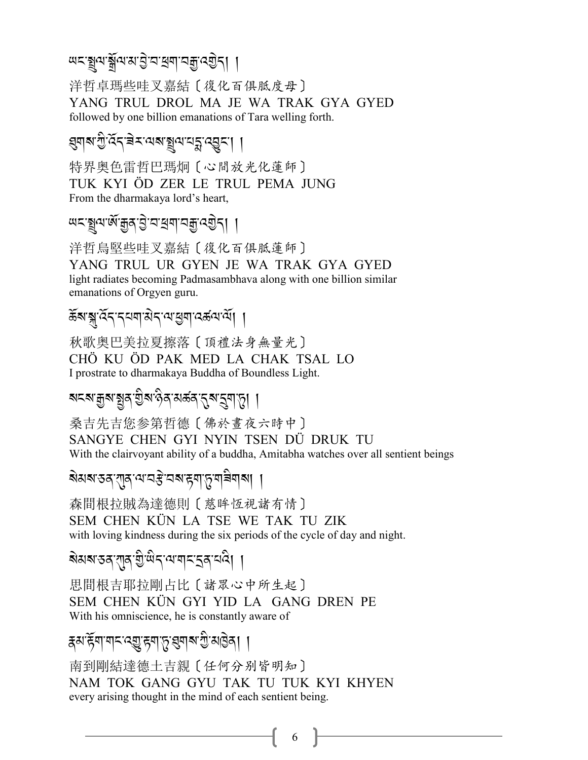# ল*্ম্ব্রি* স্প্রাপ্র, ব্রি. ব্রি. (ব্রি. /

洋哲卓瑪些哇叉嘉結〔復化百俱胝度母〕 YANG TRUL DROL MA JE WA TRAK GYA GYED followed by one billion emanations of Tara welling forth.

# ,*\$?-G* A*- :*R*.-9* J*<-=?-*3*=-0*E*-:*L*%-*,,

特界奥色雷哲巴瑪炯〔心間放光化蓮師〕 TUK KYI ÖD ZER LE TRUL PEMA JUNG From the dharmakaya lord's heart,

ল*্ম্ব্রি*ন,প্রাপ্রাপ্রাপ্রি,ধ্যু<mark>৴</mark>৷ I

洋哲烏堅些哇叉嘉結〔復化百俱胝蓮師〕 YANG TRUL UR GYEN JE WA TRAK GYA GYED light radiates becoming Padmasambhava along with one billion similar emanations of Orgyen guru.

 $\widetilde{\mathfrak{s}}$ ब ह्मा दिन् दिन्ना होता है। स्थान कर्ण स्थान कर्ण स्थान कर्ण स्थान कर्ण स्थान कर्ण स्थान कर्ण स्थान कर्ण स्थान कर्ण स्थान कर्ण स्थान कर्ण स्थान कर्ण स्थान कर्ण स्थान कर्ण स्थान कर्ण स्थान कर्ण स्थान कर्ण स्थान

秋歌奥巴美拉夏擦落〔頂禮法身無量光〕 CHÖ KU ÖD PAK MED LA CHAK TSAL LO I prostrate to dharmakaya Buddha of Boundless Light.

*?%?-o?-*,*/-I* A*?-\** A*/-3 5/-*.*?-*S*\$-*+,,

桑吉先吉您参第哲德〔佛於晝夜六時中〕 SANGYE CHEN GYI NYIN TSEN DÜ DRUK TU With the clairvoyant ability of a buddha, Amitabha watches over all sentient beings

ৰ্ষমৰ্ষস্তৰ্'যুৰ্<sup>, কো</sup>ৰ্ট'ৰখ<sup>, পুৰ</sup>িয়াৰ বিভিন্ন

森間根拉賊為達德則〔慈眸恆視諸有情〕 SEM CHEN KÜN LA TSE WE TAK TU ZIK with loving kindness during the six periods of the cycle of day and night.

ৰ্ষমৰ্স্তৰ্স্মুৰ্স্মুঞ্জি<sup>-</sup>সেন্দ্ৰ্স্মৰ্শ্ৰ ৷ I A

思間根吉耶拉剛占比〔諸眾心中所生起〕 SEM CHEN KÜN GYI YID LA GANG DREN PE With his omniscience, he is constantly aware of

# $\frac{1}{2}$ । हिंद्याचान्यालु अर्विकामान्यालुका

南到剛結達德土吉親〔任何分别皆明知〕 NAM TOK GANG GYU TAK TU TUK KYI KHYEN every arising thought in the mind of each sentient being.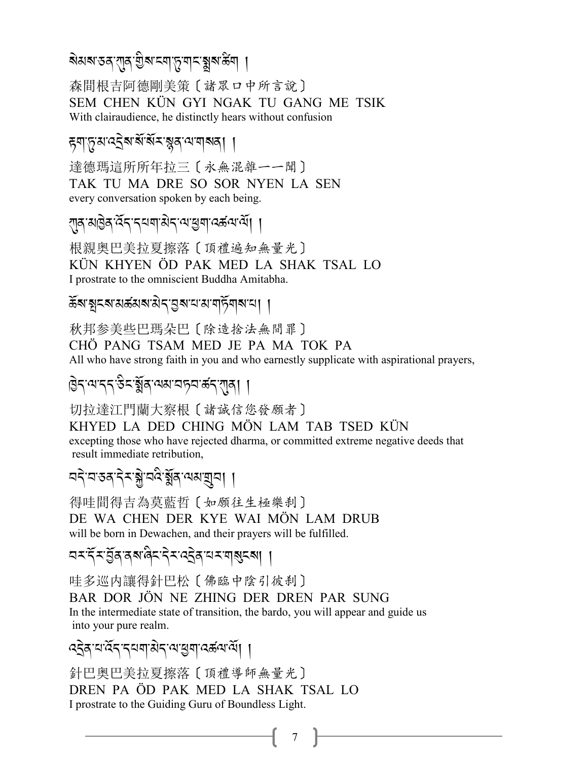# য়য়য়ৼঽঀৼঀৗ৶য়ৢ৸ৼ৸ৼ৻৸ৼ৻য়৸ড়ৢৼ৻ড়৻৸

森間根吉阿德剛美策〔諸眾口中所言說〕 SEM CHEN KÜN GYI NGAK TU GANG ME TSIK With clairaudience, he distinctly hears without confusion

### *ह्*वाङ्गुबाद्देबाबें बॅमञ्जूबायाबाबता ।

達德瑪這所所年拉三〔永無混雜一一聞〕 TAK TU MA DRE SO SOR NYEN LA SEN every conversation spoken by each being.

ग़ॺॴऄॖॺॱ<sup>ढ़ॖ</sup>ॸॱॸय़ॺॱऄॸॱॺॱॺॖॺॱढ़**ॾ॔**ॺॱॺॕ**ॎ**।

根親奥巴美拉夏擦落〔頂禮遍知無量光〕 KÜN KHYEN ÖD PAK MED LA SHAK TSAL LO I prostrate to the omniscient Buddha Amitabha.

ক্টৰাস্থামৰ্যৰ মাজনাৰী বিভাগ আৰু দিয়া বিভাগ কৰি ।

秋邦参美些巴瑪朵巴〔除造捨法無間罪〕 CHÖ PANG TSAM MED JE PA MA TOK PA All who have strong faith in you and who earnestly supplicate with aspirational prayers,

ষ্টিন'ঝ'ন্ন'উন'ৰ্ষ্ক্ৰ'ঝম'নচন'ৰ্জন'য়্ৰ্ৰা ।

切拉達江門蘭大察根〔諸誠信您發願者〕

KHYED LA DED CHING MÖN LAM TAB TSED KÜN

excepting those who have rejected dharma, or committed extreme negative deeds that result immediate retribution,

ন্দ'ন'তৰ'দীম'শ্লী'নন্দীৰ'শুমান্থানা ।

得哇間得吉為莫藍哲〔如願往生極樂刹〕 DE WA CHEN DER KYE WAI MÖN LAM DRUB will be born in Dewachen, and their prayers will be fulfilled.

哇多巡内讓得針巴松〔佛臨中陰引彼刹〕 BAR DOR JÖN NE ZHING DER DREN PAR SUNG In the intermediate state of transition, the bardo, you will appear and guide us into your pure realm.

 $7 \parallel$ 

द्देव यादेन नयबासेन या सुबादरूला या

針巴奥巴美拉夏擦落〔頂禮導師無量光〕 DREN PA ÖD PAK MED LA SHAK TSAL LO I prostrate to the Guiding Guru of Boundless Light.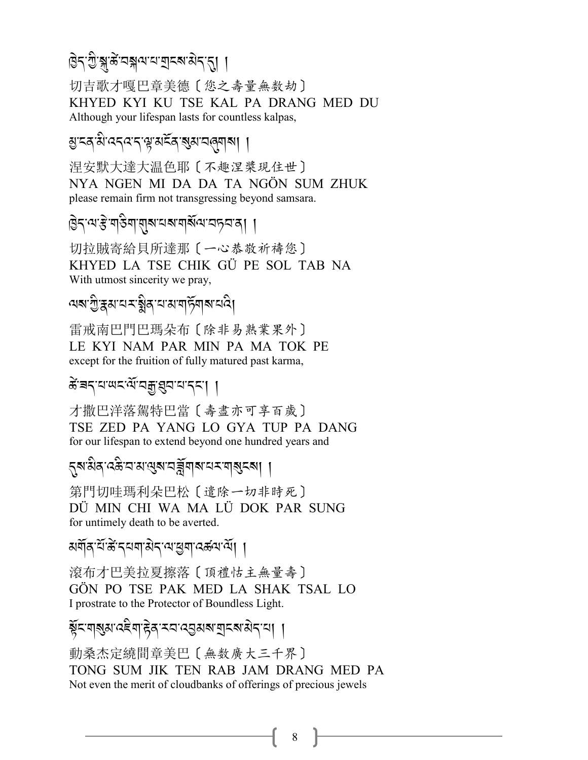#### *H* J*.-G* A*-*{*-5*K *-2{ =-0-P%?-3 .-*.,, .<br>.

切吉歌才嘎巴章美德〔您之壽量無数劫〕 KHYED KYI KU TSE KAL PA DRANG MED DU Although your lifespan lasts for countless kalpas,

ম্ৰ'হ'ৰ'ৰ'ব'ৰ'খমইৰ'ৰ্স্<mark>প</mark>্ৰ'ৰা বিভি

涅安默大達大温色耶〔不趣涅槳現住世〕 NYA NGEN MI DA DA TA NGÖN SUM ZHUK please remain firm not transgressing beyond samsara.

*H* J*.-=-l* J*-\$&* A*\$-*\$*?-0?- \$?*R*=-2+2-/*,,

切拉賊寄給貝所達那〔一心恭敬祈禱您〕 KHYED LA TSE CHIK GÜ PE SOL TAB NA With utmost sincerity we pray,

শৰ'গ্ৰীষ্কম'শৰ্মষ্ট্ৰৰ'শৰাৰ্টশৰ্ম'ৰ্থ

雷戒南巴門巴瑪朵布〔除非易熟業果外〕 LE KYI NAM PAR MIN PA MA TOK PE except for the fruition of fully matured past karma,

# *के*ंबद्'य'पद्मुंश्रुव'य'द्द'| |

才撒巴洋落駕特巴當〔壽盡亦可享百歲〕 TSE ZED PA YANG LO GYA TUP PA DANG for our lifespan to extend beyond one hundred years and

.*?-3* A*/-: (* A*-2-3-*=*?-2^*R*\$?-0<-\$*?*%?*,,

第門切哇瑪利朵巴松〔遣除一切非時死〕 DÜ MIN CHI WA MA LÜ DOK PAR SUNG for untimely death to be averted.

মৰ্শৰ <sup>পু:</sup>বিত্ৰাৰ স্বান্দ্ৰী সম্পৰ্ক সম্পৰ্কী

滾布才巴美拉夏擦落〔頂禮怙主無量壽〕 GÖN PO TSE PAK MED LA SHAK TSAL LO I prostrate to the Protector of Boundless Light.

ৰ্কু⊂ম্বৰ্জ্ঞাত্ত ৰাষ্ট্ৰাস্য ব্ৰৱ্জ্ঞৰা মৰ্চৰা ন্যা | .<br>.

動桑杰定繞間章美巴〔無数廣大三千界〕 TONG SUM JIK TEN RAB JAM DRANG MED PA Not even the merit of cloudbanks of offerings of precious jewels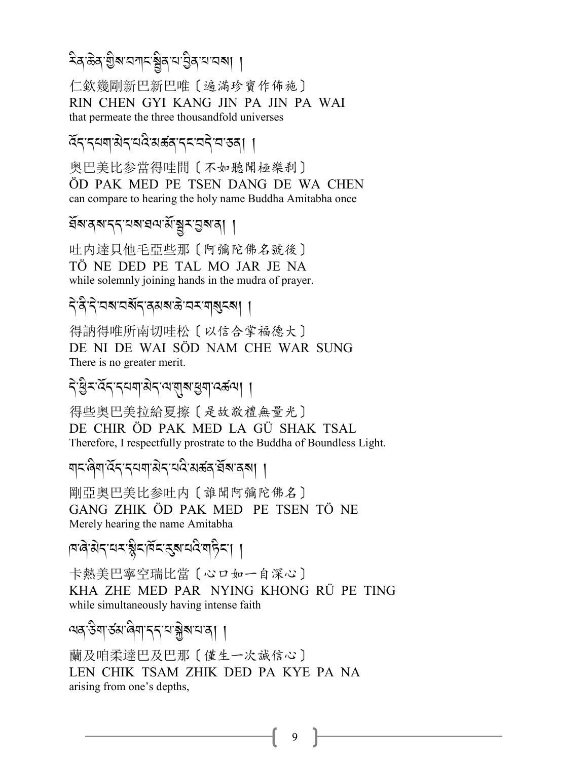ঽঽ৾৽ড়৸ড়৸ৼয়ৼ৻ড়৸৸

仁欽幾剛新巴新巴唯〔遍滿珍寶作佈施〕 RIN CHEN GYI KANG JIN PA JIN PA WAI that permeate the three thousandfold universes

ৰ্হিন্দ্ৰশাৰীন্মন্তিৰাৰ্ক্তন্দ্ৰন্দ্ৰান্তৰ্। ।

奥巴美比参當得哇間〔不如聽聞極樂刹〕 ÖD PAK MED PE TSEN DANG DE WA CHEN can compare to hearing the holy name Buddha Amitabha once

ইমনম'ব্ব'নম'রন'র্ম'য়ুম'ন্তুম'ন্। ।

叶内達貝他毛亞些那〔阿彌陀佛名號後〕 TÖ NE DED PE TAL MO JAR JE NA while solemnly joining hands in the mudra of prayer.

देउँदे वब वर्षेद दयब उपय बाबुदबा ।

得訥得唯所南切哇松〔以信合掌福德大〕 DE NI DE WAI SÖD NAM CHE WAR SUNG There is no greater merit.

*दे*ञ्जिन्दन्दयबाअदायश्वाद्यबाद्धबा ।

得些奥巴美拉給夏擦〔是故敬禮無量光〕 DE CHIR ÖD PAK MED LA GÜ SHAK TSAL Therefore, I respectfully prostrate to the Buddha of Boundless Light.

剛亞奧巴美比参吐内〔誰聞阿彌陀佛名〕 GANG ZHIK ÖD PAK MED PE TSEN TÖ NE Merely hearing the name Amitabha

विश्वरायसञ्जैदक्षित्रस्यविषाहेत्रा

卡熱美巴寧空瑞比當〔心ロ如一自深心〕 KHA ZHE MED PAR NYING KHONG RÜ PE TING while simultaneously having intense faith

9

অন্তিশ র্তমান্ত্রশান্দ আক্সমামান্ত্র। ।

蘭及咱柔達巴及巴那〔僅生一次誠信心〕 LEN CHIK TSAM ZHIK DED PA KYE PA NA arising from one's depths,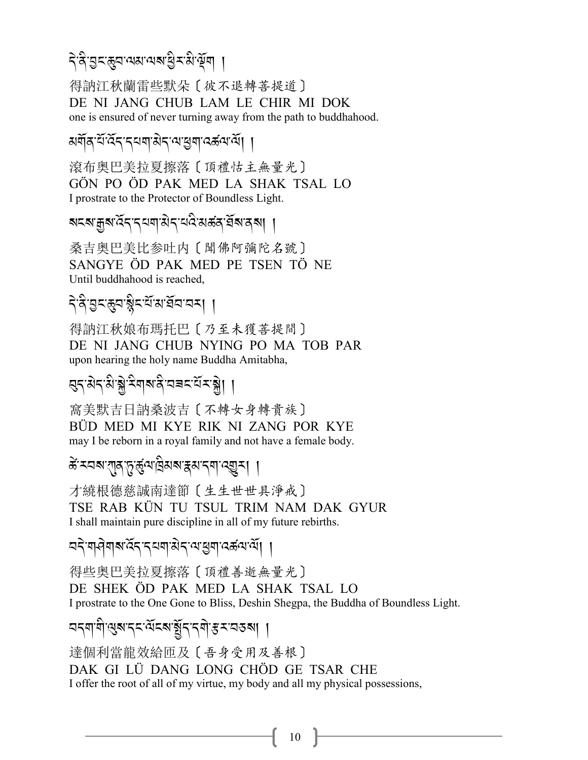# ব্<sup>.</sup>ই'ব্ৰন্দ্ৰেন্দ্ৰমন্মস্বাৰ্জন ।

得訥江秋蘭雷些默朵〔彼不退轉菩提道〕 DE NI JANG CHUB LAM LE CHIR MI DOK one is ensured of never turning away from the path to buddhahood.

# মৰ্মৰ শ্ৰম্পৰ স্বাৰ্থ সম্পৰ্ক সম্পৰ্ক সম্পৰ্ক সম্পৰ্ক সম্পৰ্ক সম্পৰ্ক সম্পৰ্ক সম্পৰ্ক সম্পৰ্ক সম্পৰ্ক সম্পৰ্ক স<br>বৰ্তন

滾布奥巴美拉夏擦落〔頂禮怙主無量光〕 GÖN PO ÖD PAK MED LA SHAK TSAL LO I prostrate to the Protector of Boundless Light.

#### ৰ্মহৰ'ৰ্ট্ৰৰ'ৰ্ট্ৰই'বৰ'ৰ্ট্ৰৰ'ৰ্ট্ৰৰ'ৰ্ট্ৰৰ'ৰ্ট্ৰৰ'ৰ্ট্ৰ J

桑吉奥巴美比参吐内〔聞佛阿彌陀名號〕 SANGYE ÖD PAK MED PE TSEN TÖ NE Until buddhahood is reached,

# ব্<sup>.</sup>ধ্রি:গ্রন্থ-রুম্প্রয়ন্ত্র ।

得訥江秋娘布瑪托巴〔乃至未獲菩提間〕 DE NI JANG CHUB NYING PO MA TOB PAR upon hearing the holy name Buddha Amitabha,

#### *প্ৰ*-প্ৰাস্থ্ৰ, হুৱাৰ প্ৰাপ্ত প্ৰাপ্ত প্ৰাপ্ত প্ৰাপ্ত প্ৰাপ্ত প্ৰাপ্ত প্ৰাপ্ত প্ৰাপ্ত প্ৰাপ্ত প্ৰাপ্ত প্ৰাপ্ত<br>প্ৰাপ্ত প্ৰাপ্ত প্ৰাপ্ত প্ৰাপ্ত প্ৰাপ্ত প্ৰাপ্ত প্ৰাপ্ত প্ৰাপ্ত প্ৰাপ্ত প্ৰাপ্ত প্ৰাপ্ত প্ৰাপ্ত প্ৰাপ্ত প্ৰাপ J i<br>i

窩美默吉日訥桑波吉〔不轉女身轉貴族〕 BÜD MED MI KYE RIK NI ZANG POR KYE may I be reborn in a royal family and not have a female body.

# ৰ্ক'ম্বৰ্ষ'মুৰ্\চূৰ্দ্ভ্<sup>ৰে</sup>'ব্ৰিম্বৰ্ষ'ম্বৰ্শ'ৰ্ষ্মুম্| |

才繞根德慈誠南達節〔生生世世具淨戒〕 TSE RAB KÜN TU TSUL TRIM NAM DAK GYUR I shall maintain pure discipline in all of my future rebirths.

#### ব্বই শ্ৰমীৰ সম্ভূতি সম্পৰ্ক সম্ভূত্ৰ সম্ভূত্ৰ সম্ভূত্ৰ সম্ভূত্ৰ সম্ভূত্ৰ সম্ভূত্ৰ সম্ভূত্ৰ সম্ভূত্ৰ সম্ভূত্ৰ স<br>বিভিন্ন J

得些奥巴美拉夏擦落〔頂禮善逝無量光〕 DE SHEK ÖD PAK MED LA SHAK TSAL LO I prostrate to the One Gone to Bliss, Deshin Shegpa, the Buddha of Boundless Light.

# বন্মাণী*শুৰান্*যকাৰ্ষ্ট্ৰন্দ্ৰীস্ত মান্তৰ্ষা |

達個利當龍效給匝及〔吾身受用及善根〕 DAK GI LÜ DANG LONG CHÖD GE TSAR CHE I offer the root of all of my virtue, my body and all my physical possessions,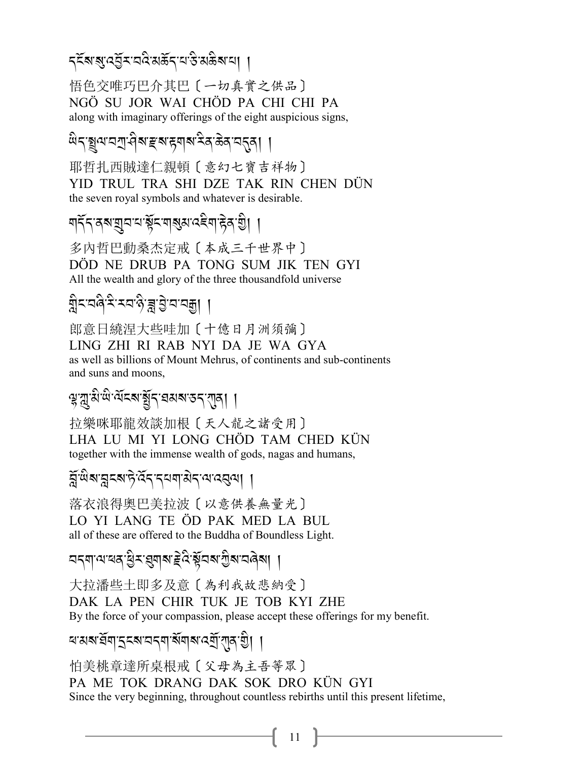*द्*द्रबायुद्धिरावदे अर्केदायाङ्के अञ्चल ।।

悟色交唯巧巴介其巴〔一切真實之供品〕 NGÖ SU JOR WAI CHÖD PA CHI CHI PA along with imaginary offerings of the eight auspicious signs,

耶哲扎西賊達仁親頓〔意幻七寶吉祥物〕 YID TRUL TRA SHI DZE TAK RIN CHEN DUN the seven royal symbols and whatever is desirable.

<u> गर्देन तबा्युन नाञ्चेन ग</u>ञ्ज्ञा प्रदेश हेता थे।

多内哲巴動桑杰定戒〔本成三千世界中〕 DÖD NE DRUB PA TONG SUM JIK TEN GYI All the wealth and glory of the three thousandfold universe

ਸ਼੍ਰੈ≍'ਧਕੈ'ਤੇ'ਤਧਾਨ੍ਹੇ'ਭ੍ਹਾਂਤ੍ਰੇ'ਧਾਧਗ਼ੂ। ।

郎意日繞涅大些哇加〔十億日月洲須彌〕 LING ZHI RI RAB NYI DA JE WA GYA as well as billions of Mount Mehrus, of continents and sub-continents and suns and moons,

ৠৢয়ৣ<sub>৾</sub>য়<sup>৻</sup>অ৸ঽয়য়য়৻ঽৼ৻য়৸৻৸

拉樂咪耶龍效談加根〔天人龍之諸受用〕 LHA LU MI YI LONG CHÖD TAM CHED KÜN together with the immense wealth of gods, nagas and humans,

ङ्गॅ षेबानुदबारे देन दयवासेन यादवया ।

落衣浪得奧巴美拉波〔以意供養無量光〕 LO YI LANG TE ÖD PAK MED LA BUL all of these are offered to the Buddha of Boundless Light.

ଘৰ্মান্মৰেপ্ট্ৰ-প্ৰেমৰাইণ্ড্ৰিৰ্মান্ট্ৰৰান্ত্ৰৰা ।

大拉潘些土即多及意〔為利我故悲納受〕 DAK LA PEN CHIR TUK JE TOB KYI ZHE By the force of your compassion, please accept these offerings for my benefit.

ঘ'মৰ'ৰ্ষমাত্ৰুৰখনৰ মাৰ্শিৰ বৰ্ষীয়াৰ খ্ৰী ।

怕美桃章達所桌根戒〔父母為主吾等眾〕 PA ME TOK DRANG DAK SOK DRO KÜN GYI Since the very beginning, throughout countless rebirths until this present lifetime,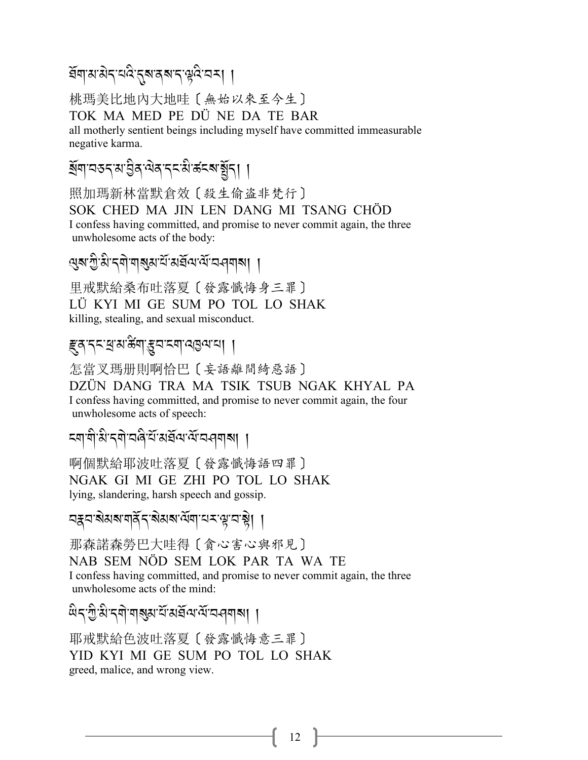#### ইন্মস্যপ্ৰবাৰ্ত্ত প্ৰাৰম্পৰীৰ সম্ভব্<mark>জ</mark>ি সম্ভৱি A Links

桃瑪美比地內大地哇〔無始以來至今生〕 TOK MA MED PE DÜ NE DA TE BAR all motherly sentient beings including myself have committed immeasurable negative karma.

#### *Y*R*\$-2&.-3-L /-=* J*/-.% -3* A*-5%?-*,R*.*,, .<br>.<br>.

照加瑪新林當默倉效〔殺生偷盗非梵行〕 SOK CHED MA JIN LEN DANG MI TSANG CHÖD I confess having committed, and promise to never commit again, the three unwholesome acts of the body:

# প্ৰৰ'শ্ৰী:ব্ৰী:বাৰ্ম্বৰ'ৰ্ম্মইন্দেৰ্ম্বৰ বিদ্যালয় ।

里戒默給桑布吐落夏〔發露懺悔身三罪〕 LÜ KYI MI GE SUM PO TOL LO SHAK killing, stealing, and sexual misconduct.

# *ह्रुव*'द्रद्र्थ:अर्.क्ष्याद्र्य:द्र्या:अन्नार्थ: ।

怎當叉瑪册則啊恰巴〔妄語離間綺惡語〕 DZÜN DANG TRA MA TSIK TSUB NGAK KHYAL PA I confess having committed, and promise to never commit again, the four unwholesome acts of speech:

*% \$-\$* A*-3* A*-. \$* J*-28* A*-0*R*-3 ,*R*= -=*R*-2>\$?*,,

啊個默給耶波吐落夏〔發露懺悔語四罪〕 NGAK GI MI GE ZHI PO TOL LO SHAK lying, slandering, harsh speech and gossip.

বস্ক্রন, *প্রাপ্রব্রাই, স্পার্ট, স্পার্থ-*<br>বর্ষ, প্রাপ্রাপ্রাপ্রাপ্রাপ্রাপ্রাপ্রাপ্রাপ্তা, সি

那森諾森勞巴大哇得〔貪心害心與邪見〕 NAB SEM NÖD SEM LOK PAR TA WA TE I confess having committed, and promise to never commit again, the three unwholesome acts of the mind:

*;* A*.-G* A*- 3* A*-.\$* J*-\$*?*3-0*R*-3,*R*=-=*R*-2>\$ ?*,,

耶戒默給色波吐落夏〔發露懺悔意三罪〕 YID KYI MI GE SUM PO TOL LO SHAK greed, malice, and wrong view.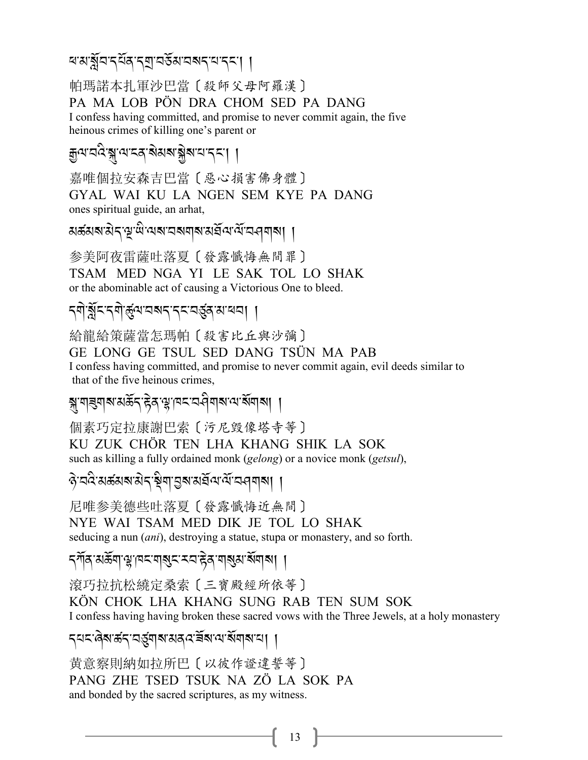ৰখর্মীন ব্যুপ্র ব্যান্ড স্বান্থ নাইন। ।

帕瑪諾本扎軍沙巴當〔殺師父母阿羅漢〕 PA MA LOB PÖN DRA CHOM SED PA DANG I confess having committed, and promise to never commit again, the five heinous crimes of killing one's parent or

## *ৰুনমান্ত খ্ৰাৰমাৰ আৰু আপুৰ আৰু প্ৰ*াৰ্থ ।

嘉唯個拉安森吉巴當〔惡心損害佛身體〕 GYAL WAI KU LA NGEN SEM KYE PA DANG ones spiritual guide, an arhat,

য়ৼ৽৸৶ৼ৴ড়ঢ়৻৻৸৸ৼঢ়৸৸৸৸৸৸৸৸৸৸

参美阿夜雷薩吐落夏〔發露懺悔無間罪〕 TSAM MED NGA YI LE SAK TOL LO SHAK or the abominable act of causing a Victorious One to bleed.

### 

給龍給策薩當怎瑪帕〔殺害比丘與沙彌〕 GE LONG GE TSUL SED DANG TSÜN MA PAB I confess having committed, and promise to never commit again, evil deeds similar to that of the five heinous crimes,

#### ঝ্ল'শৰমাৰ্ম'মৰ্ক্টব্'ষ্টব্'শ্লু'।মন্মেৰ্ব্ৰিশৰাম্পৰা বি

個素巧定拉康謝巴索〔污尼毀像塔寺等〕 KU ZUK CHÖR TEN LHA KHANG SHIK LA SOK such as killing a fully ordained monk (gelong) or a novice monk (getsul),

ऐप्रदेखरुशबार रेन्द्र सेवा पुष्य सर्वे वाल्य वर्ण विषय ।

尼唯参美德些吐落夏〔發露懺悔近無間〕

NYE WAI TSAM MED DIK JE TOL LO SHAK

seducing a nun (ani), destroying a statue, stupa or monastery, and so forth.

*ॸੑ*ग़ॕॺॱॴक़य़ॱॎय़ॷॸॱॺॺॖड़ॱॸॸॱढ़ॆॺॱॺऻॷॴख़ॴ

滾巧拉抗松繞定桑索〔三寶殿經所依等〕

KÖN CHOK LHA KHANG SUNG RAB TEN SUM SOK I confess having having broken these sacred vows with the Three Jewels, at a holy monastery

### ८८८: २ अस्था अर्थवाद्या अर्थात्रा अर्थवाद्या ।

黄意察則納如拉所巴〔以彼作證違誓等〕 PANG ZHE TSED TSUK NA ZÖ LA SOK PA and bonded by the sacred scriptures, as my witness.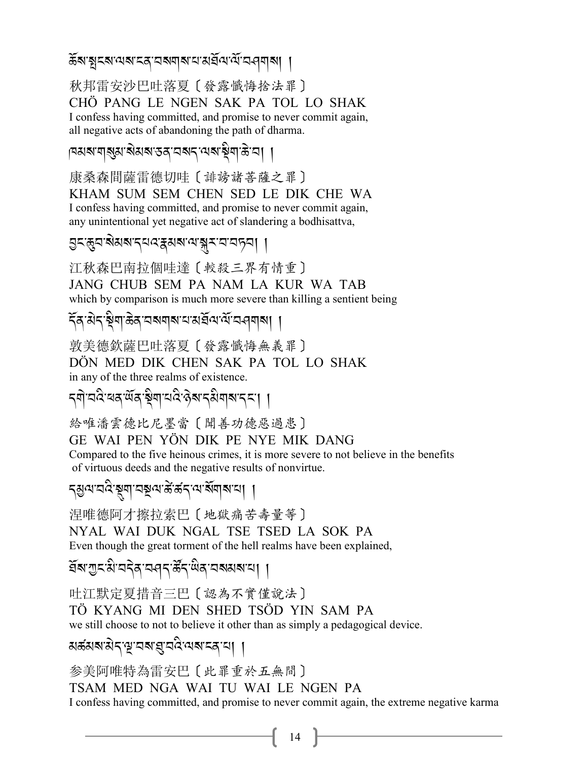### $\widetilde{\mathcal{R}}$ ৰ'মুম্ম'নৰ'মৰখাৰাম'ন'মৰ্ম<sup>্</sup>ম'নৰ্মী |

秋邦雷安沙巴吐落夏〔發露懺悔捨法罪〕 CHÖ PANG LE NGEN SAK PA TOL LO SHAK I confess having committed, and promise to never commit again, all negative acts of abandoning the path of dharma.

|২৯৯.৯/১৯৯/৯৯/১৯৯৯<br>|১৯৯৯ - <mark>১</mark>৯৯/১৯

康桑森間薩雷德切哇〔誹謗諸菩薩之罪〕 KHAM SUM SEM CHEN SED LE DIK CHE WA I confess having committed, and promise to never commit again, any unintentional yet negative act of slandering a bodhisattva,

<mark>g<:ন্ধুন:ৰীম্মশব্দৰ:ইমৰাঅ'ৰ্ম্</mark>ক'ন'ন'নচ্ন| |

江秋森巴南拉個哇達〔較殺三界有情重〕

JANG CHUB SEM PA NAM LA KUR WA TAB which by comparison is much more severe than killing a sentient being

*.*R*/-3* J*.-*# A*\$-(* J*/-2? \$?- 0-3,*R*=-=*R*-2>\$?*,,

敦美德欽薩巴吐落夏〔發露懺悔無義罪〕 DÖN MED DIK CHEN SAK PA TOL LO SHAK in any of the three realms of existence.

*.\$* J*-2:* A*-1/-;*R*/-*# A*\$-0:* A*- \** J*?-. 3* A*\$?-.% -*,,

給唯潘雲德比尼墨當〔聞善功德惡過患〕 GE WAI PEN YÖN DIK PE NYE MIK DANG Compared to the five heinous crimes, it is more severe to not believe in the benefits of virtuous deeds and the negative results of nonvirtue.

*.M=-2:* A*-*#*\$-2}=-5*K*-5 .-=-?*R*\$ ?-0*,,

涅唯德阿才擦拉索巴〔地獄痛苦壽量等〕 NYAL WAI DUK NGAL TSE TSED LA SOK PA Even though the great torment of the hell realms have been explained,

প্ৰঁৰ'স্ৰুইৰ'ন্দৰ্শ উঁন্<sup>:ট্ৰি</sup>ৰ'নৰ্মৰাম'ন্। । .<br>.

吐江默定夏措音三巴〔認為不實僅說法〕 TÖ KYANG MI DEN SHED TSÖD YIN SAM PA we still choose to not to believe it other than as simply a pedagogical device.

মৰ্ক্সসম্পদ্ম বৰ্ষা প্ৰৱেশ্ৰম <u>ব্ৰা</u>মা ।

参美阿唯特為雷安巴〔此罪重於五無間〕 TSAM MED NGA WAI TU WAI LE NGEN PA I confess having committed, and promise to never commit again, the extreme negative karma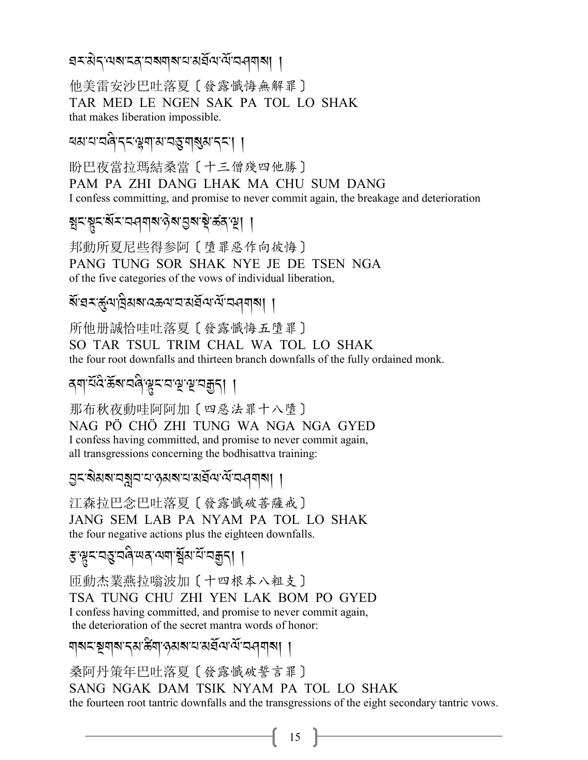প্ৰশঞ্জি-প্ৰমাণৰ সম্ভিতি সম্পৰ্ক সম্পৰ্ক সম্পৰ্ক সম্পৰ্ক সম্পৰ্ক সম্পৰ্ক সম্পৰ্ক সম্পৰ্ক সম্পৰ্ক সম্পৰ্ক সম্পৰ্ক<br>পৰ্ক সম্পৰ্ক সম্পৰ্ক সম্পৰ্ক সম্পৰ্ক সম্পৰ্ক সম্পৰ্ক সম্পৰ্ক সম্পৰ্ক সম্পৰ্ক সম্পৰ্ক সম্পৰ্ক সম্পৰ্ক সম্পৰ্ক

他美雷安沙巴吐落夏〔發露懺悔無解罪〕 TAR MED LE NGEN SAK PA TOL LO SHAK that makes liberation impossible.

ৰম'ম'নৰী'ব্ৰ'ঞ্জম'ম'ন্ড্ৰ'মাৰ্গুৰ'ব্ৰ'| |

盼巴夜當拉瑪結桑當〔十三僧殘四他勝〕 PAM PA ZHI DANG LHAK MA CHU SUM DANG I confess committing, and promise to never commit again, the breakage and deterioration

ষ্ণ*-*ংশ্ৰু-প্ৰেৰণৰ বিশ্ৰাপ্ত স্পন্ন স্পন্ন (স্থা

邦動所夏尼些得参阿〔墮罪惡作向彼悔〕 PANG TUNG SOR SHAK NYE JE DE TSEN NGA of the five categories of the vows of individual liberation,

ৰ্ষ<sup>:</sup>ঘ¤্ৰ্কুণ'ট্ৰিমৰ্ম'বক্তন্য'ব্যৰ্শ্ৰ<sup>্</sup>ম-প্ৰশ্ৰম্| | A

所他册誠恰哇吐落夏〔發露懺悔五墮罪〕 SO TAR TSUL TRIM CHAL WA TOL LO SHAK the four root downfalls and thirteen branch downfalls of the fully ordained monk.

ৰ্শ<sup>:দূপ্তেঞ্জ-প্ৰমাণ (সম্প্ৰায়)<br>বৰ্শ</sup>

那布秋夜動哇阿阿加〔四惡法罪十八墮〕 NAG PÖ CHÖ ZHI TUNG WA NGA NGA GYED I confess having committed, and promise to never commit again, all transgressions concerning the bodhisattva training:

5 - <u>2</u> 2020 - 23 Pa2-0-2014<br>Rapa-20-20-20-20-20

江森拉巴念巴吐落夏〔發露懺破菩薩戒〕 JANG SEM LAB PA NYAM PA TOL LO SHAK the four negative actions plus the eighteen downfalls.

*ধ*্ম্ভু<যন্ত্ৰবেন্দ্ৰিমেম্ব্ৰমাৰ্হ্ম বিদ্ৰাৰ্

匝動杰業燕拉嗡波加〔十四根本八粗支〕 TSA TUNG CHU ZHI YEN LAK BOM PO GYED I confess having committed, and promise to never commit again, the deterioration of the secret mantra words of honor:

ম্বৰ স্মুন সমস্তিৰ স্মান সম্পৰ্ক সম্পৰ্ক সম্পৰ্ক সম্পৰ্ক সম্পৰ্ক সম্পৰ্ক সম্পৰ্ক সম্পৰ্ক সম্পৰ্ক সম্পৰ্ক সম্পৰ্<br>বা

桑阿丹策年巴吐落夏〔發露懺破誓言罪〕 SANG NGAK DAM TSIK NYAM PA TOL LO SHAK the fourteen root tantric downfalls and the transgressions of the eight secondary tantric vows.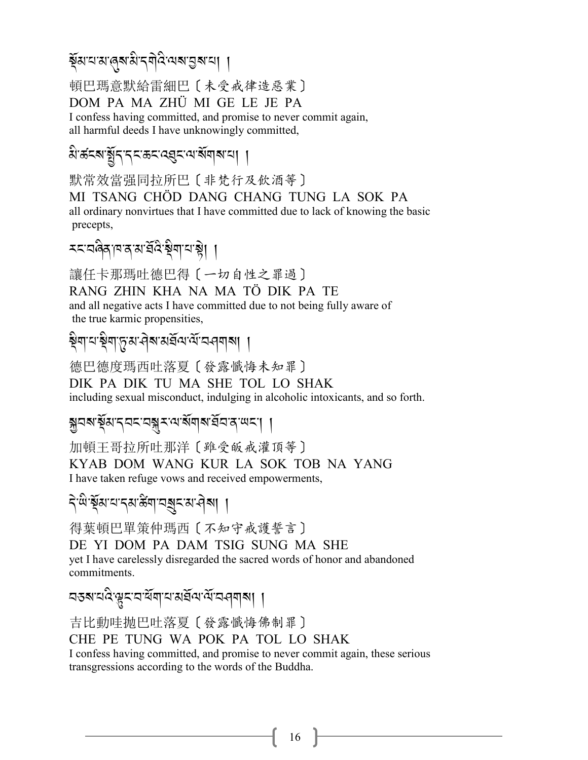# ৰ্ষুম<sup>:</sup>ম:প্ৰেম:খন্মুপ্ৰ:মৰ্ম:বা ।

頓巴瑪意默給雷細巴〔未受戒律造惡業〕 DOM PA MA ZHÜ MI GE LE JE PA I confess having committed, and promise to never commit again, all harmful deeds I have unknowingly committed,

# *a* - ক্ষুদ্দ্দ্দ্ৰ স্বৰ্দ্ধ - ক্ষুদ্দ্দ্ৰ স্বাৰা

默常效當强同拉所巴〔非梵行及飲酒等〕 MI TSANG CHÖD DANG CHANG TUNG LA SOK PA all ordinary nonvirtues that I have committed due to lack of knowing the basic precepts,

# <u>z<</u>a@dlada.gr/zi#j

讓任卡那瑪吐德巴得〔一切自性之罪過〕 RANG ZHIN KHA NA MA TÖ DIK PA TE and all negative acts I have committed due to not being fully aware of the true karmic propensities,

#### ষ্ট্ৰশ'ৰ্ম্ব্ৰম'ৰ্মৰ্শ<sup>ন্</sup>মৰ্শৰ । J

德巴德度瑪西吐落夏〔發露懺悔未知罪〕 DIK PA DIK TU MA SHE TOL LO SHAK including sexual misconduct, indulging in alcoholic intoxicants, and so forth.

### \**2?-*#R*3-.2% -2*{*<-=- ?*R*\$ ?-,*R*2-/-;% -*,,

加頓王哥拉所吐那洋〔雖受皈戒灌頂等〕 KYAB DOM WANG KUR LA SOK TOB NA YANG I have taken refuge vows and received empowerments,

# *.* J*-;* A*-*#R*3-0-.3- 5*B *\$-2*Y*%-3->* J*?*,,

得葉頓巴單策仲瑪西〔不知守戒護誓言〕 DE YI DOM PA DAM TSIG SUNG MA SHE yet I have carelessly disregarded the sacred words of honor and abandoned commitments.

বহৰ বৰ্ত্ত প্ৰেন <u>ব</u>্ৰান প্ৰাপ্ত প্ৰাপ্ত পৰি স্থা

吉比動哇抛巴吐落夏〔發露懺悔佛制罪〕

CHE PE TUNG WA POK PA TOL LO SHAK

I confess having committed, and promise to never commit again, these serious transgressions according to the words of the Buddha.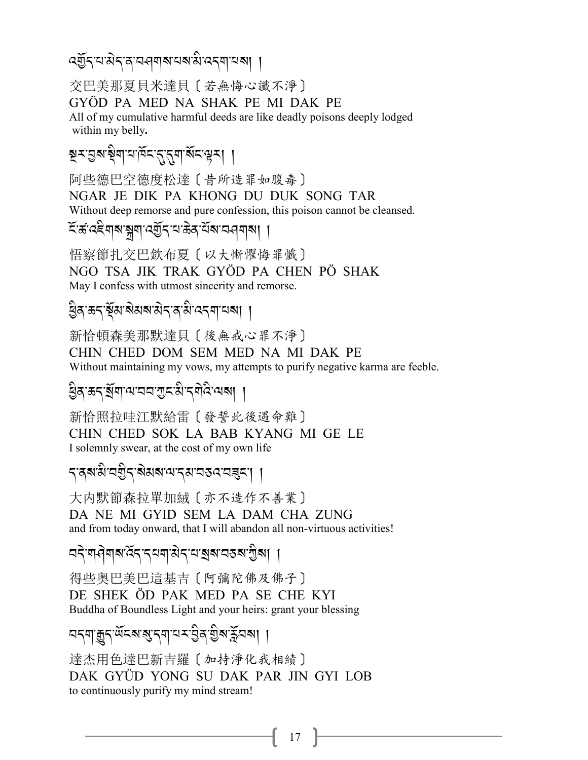ৰ্হ্টন্'ন'মন্'ন'ন-বৰ্মৰ'নৰ'মি'নেন্ম'নৰা ।

交巴美那夏貝米達貝〔若無悔心讖不淨〕

GYÖD PA MED NA SHAK PE MI DAK PE

All of my cumulative harmful deeds are like deadly poisons deeply lodged within my belly.

মুমন্তৰাষ্ট্ৰামাৰ্মিমন্ত্ৰাৰ্মিমন্ত্ৰম। ।

阿些德巴空德度松達 [ 昔所造罪如腹毒] NGAR JE DIK PA KHONG DU DUK SONG TAR Without deep remorse and pure confession, this poison cannot be cleansed.

হির্তরেইনাঝ'ঝ্লার্য্ট্র্ব'ম'ক্কর'র্মম'ন্ননামা

悟察節扎交巴欽布夏〔以大慚懼悔罪懺〕 NGO TSA JIK TRAK GYÖD PA CHEN PÖ SHAK May I confess with utmost sincerity and remorse.

### धैक ऊद भेंब बेसबासेद क्षे उदया यबा ।

新恰頓森美那默達貝〔後無戒心罪不淨〕 CHIN CHED DOM SEM MED NA MI DAK PE Without maintaining my vows, my attempts to purify negative karma are feeble.

ষ্ট্ৰিস্ক্ৰন্'ৰ্শ্ৰশাম্মাত্মস্থান্মীৰ্ম মেৰা ।

新恰照拉哇江默給雷〔發誓此後遇命難〕 CHIN CHED SOK LA BAB KYANG MI GE LE I solemnly swear, at the cost of my own life

*৲*ৰ্ষ'মী'বহীৰ'ৰীমৰ'শেৰ্ম'বৰুৎৰেৰ্ৰৰ'। ।

大内默節森拉單加絨〔亦不造作不善業〕 DA NE MI GYID SEM LA DAM CHA ZUNG and from today onward, that I will abandon all non-virtuous activities!

<u> নই নাৰীৰাৰ হৈ বিৰোধীৰ নাৰীৰ স্থানি প্ৰা</u>

得些奥巴美巴這基吉 [阿彌陀佛及佛子] DE SHEK ÖD PAK MED PA SE CHE KYI Buddha of Boundless Light and your heirs: grant your blessing

# <u> নন্মাক্কুন<sup>:</sup> অঁহৰাৰ্যুনমাৰ্য ইৰাইৰাৰ্মী ।</u>

達杰用色達巴新吉羅〔加持淨化我相績〕 DAK GYÜD YONG SU DAK PAR JIN GYI LOB to continuously purify my mind stream!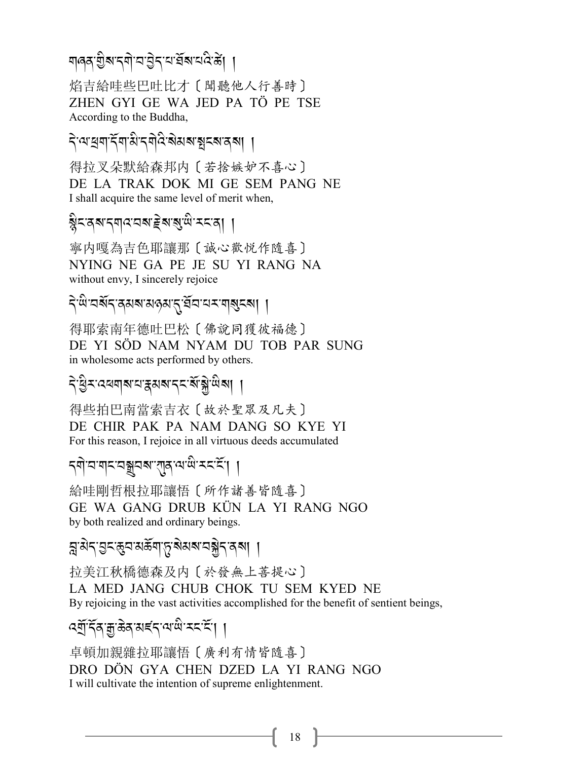# শৰ্ক গ্ৰীৰ্ম্বশ্ৰম বুন্<sup>ন বু</sup>ৰ্ম্ব বুৰ্ট |

焰吉給哇些巴吐比才〔聞聽他人行善時〕 ZHEN GYI GE WA JED PA TÖ PE TSE According to the Buddha,

ব্*প্ৰে*খপুৰ স্বাৰ্থ কৰি স্বাৰ্থ পৰি স্বাৰ্থ । J

得拉叉朵默給森邦内〔若捨嫉妒不喜心〕 DE LA TRAK DOK MI GE SEM PANG NE I shall acquire the same level of merit when,

#### ষ্ট্ৰনস্থল প্ৰাৰম্ভ কৰি সম্পৰ্ক সম্পৰ্ক সম্পৰ্ক সম্পৰ্ক সম্পৰ্ক সম্পৰ্ক সম্পৰ্ক সম্পৰ্ক সম্পৰ্ক সম্পৰ্ক সম্পৰ্ক<br>ই J A<sub>1</sub>

寧内嘎為吉色耶讓那〔誠心歡悦作隨喜〕 NYING NE GA PE JE SU YI RANG NA without envy, I sincerely rejoice

ব্<sup>-</sup>শ্ৰি<sup>.</sup>অৰ্ম্বৰ স্বাৰ্থ বুৰ্ণ্টবি<sup>.</sup> বিদ্ৰোপ্ত স্বৰ্গ (

得耶索南年德吐巴松〔佛說同獲彼福德〕 DE YI SÖD NAM NYAM DU TOB PAR SUNG in wholesome acts performed by others.

# ব্*প্ৰিমবে*ধশৰ স্বৰ্গৰ স্বৰ্জী জ্ঞা

得些拍巴南當索吉衣〔故於聖眾及凡夫〕 DE CHIR PAK PA NAM DANG SO KYE YI For this reason, I rejoice in all virtuous deeds accumulated

# *.\$* J*-2-\$% -2*1*2?--*!*/-= -;* A*-<% -%*R*-*,,

給哇剛哲根拉耶讓悟〔所作諸善皆隨喜〕 GE WA GANG DRUB KÜN LA YI RANG NGO by both realized and ordinary beings.

# *]-3* J*.-L% -*(*2-3(*R*\$-*+*-?* J*3?-2*\* J*.-/?*,,

拉美江秋橋德森及内〔於發無上菩提心〕 LA MED JANG CHUB CHOK TU SEM KYED NE By rejoicing in the vast activities accomplished for the benefit of sentient beings,

# *-*<br>পন্মুৰ্দ্ৰ্য প্ৰস্থাৰ বিদ্যোগ্ম স্বৰ্দ্ধে।

卓頓加親雜拉耶讓悟〔廣利有情皆隨喜〕 DRO DÖN GYA CHEN DZED LA YI RANG NGO I will cultivate the intention of supreme enlightenment.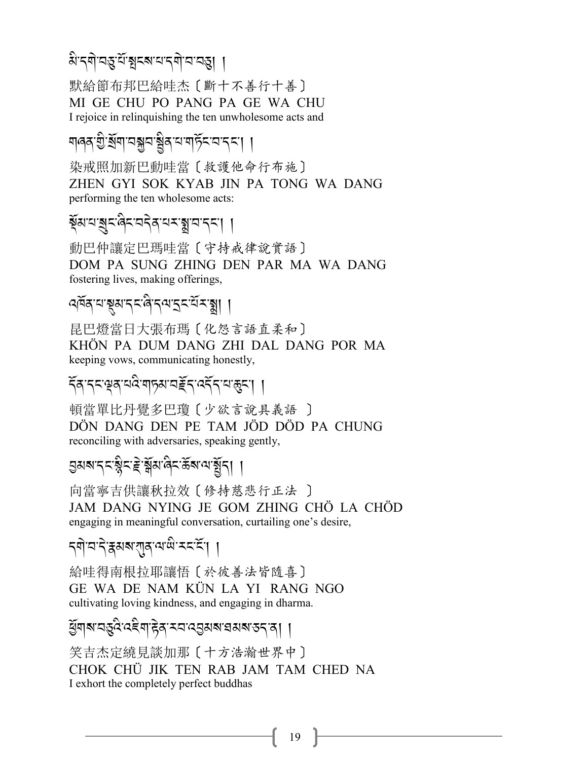#### **3** - <mark>2-2-20</mark> 2-20-20 2-20-20 2-20-20 2-20-20 2-20-20 J

默給節布邦巴給哇杰〔斷十不善行十善〕 MI GE CHU PO PANG PA GE WA CHU I rejoice in relinquishing the ten unwholesome acts and

# মাণৰ গুৰ্শ্প বস্তু বাৰী বিদেশ বিদ্যা <mark>।</mark>

染戒照加新巴動哇當〔救護他命行布施〕 ZHEN GYI SOK KYAB JIN PA TONG WA DANG performing the ten wholesome acts:

#### ৰ্ষ্মত্ম স্তুব্দিত্ৰ বিভিন্ন স্থান <u>(</u>২.) .<br>.

動巴仲讓定巴瑪哇當〔守持戒律說實語〕 DOM PA SUNG ZHING DEN PAR MA WA DANG fostering lives, making offerings,

# 4ৰ্দ্ৰৰ অধ্যাপকৰী বিত্তালক <u>(</u>মুখ্য বি

昆巴燈當日大張布瑪〔化怨言語直柔和〕 KHÖN PA DUM DANG ZHI DAL DANG POR MA keeping vows, communicating honestly,

# $\widetilde{\tau}$ ন্দ্ৰম্ব্ৰম্বৰ্য আৰু স্বত্বৰ্য ( 1

頓當單比丹覺多巴瓊〔少欲言說具義語 〕 DÖN DANG DEN PE TAM JÖD DÖD PA CHUNG reconciling with adversaries, speaking gently,

#### ৪খৰাৰ্'বৰ প্ৰতিষ্ট্ৰাৰ্ট প্ৰতিষ্টাৰ্ .<br>.<br>. J .<br>.<br>.

向當寧吉供讓秋拉效〔修持慈悲行正法 〕 JAM DANG NYING JE GOM ZHING CHÖ LA CHÖD engaging in meaningful conversation, curtailing one's desire,

# *.\$* J*-2-.* J*-i3?-*!*/-=-;* A*- <% -%*R*-*,,

給哇得南根拉耶讓悟〔於彼善法皆隨喜〕 GE WA DE NAM KÜN LA YI RANG NGO cultivating loving kindness, and engaging in dharma.

# *ধ্ৰ্*যাৰ স্প্ৰান্ত স্বৰ স্প্ৰান্ত স্প্ৰান্ত স্প্ৰান্ত স্প্ৰান্ত স্প্ৰান্ত স্প্ৰান্ত স্প্ৰান্ত স্প্ৰান্ত স্প্ৰান্ত<br>প্ৰান্ত স্প্ৰান্ত স্প্ৰান্ত স্প্ৰান্ত স্প্ৰান্ত স্প্ৰান্ত স্প্ৰান্ত স্প্ৰান্ত স্প্ৰান্ত স্প্ৰান্ত স্প্ৰান্

笑吉杰定繞見談加那〔十方浩瀚世界中〕 CHOK CHÜ JIK TEN RAB JAM TAM CHED NA I exhort the completely perfect buddhas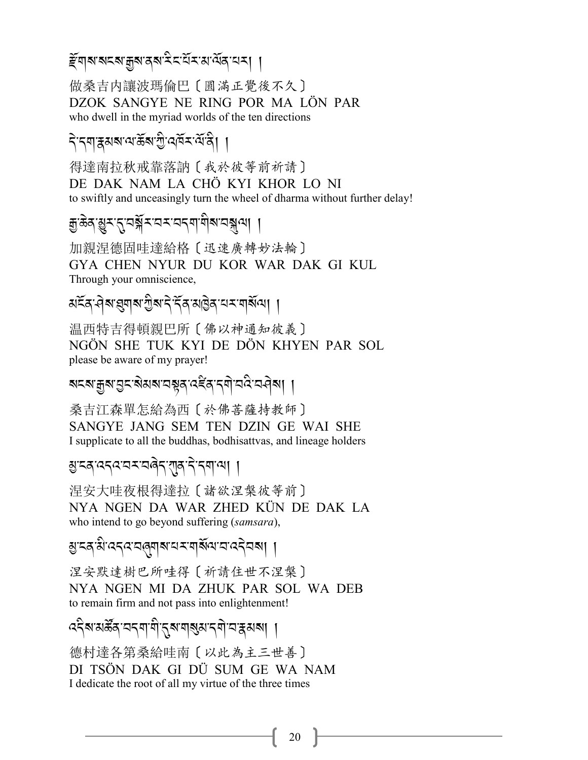### *हूँ* ল|ৰ'ৰামৰ শ্ৰুৰাৰ ৰামিম মন্ত্ৰী ৰামৰ পৰি মেন।

做桑吉内讓波瑪倫巴〔圓滿正覺後不久〕 DZOK SANGYE NE RING POR MA LÖN PAR who dwell in the myriad worlds of the ten directions

### दे दगहरू बाला के बारी खर्च रखें है।

得達南拉秋戒靠落訥〔我於彼等前祈請〕 DE DAK NAM LA CHÔ KYI KHOR LO NI to swiftly and unceasingly turn the wheel of dharma without further delay!

# *हु* ऊत्थुर तुपञ्जे र घर घत्यायोब घञ्जया ।

加親涅德固哇達給格〔迅速廣轉妙法輪〕 GYA CHEN NYUR DU KOR WAR DAK GI KUL Through your omniscience,

## अद्रेत वेब इयाब गुबा दे देव अड़ित यस यार्बेला ।

温西特吉得頓親巴所〔佛以神通知彼義〕 NGÖN SHE TUK KYI DE DÖN KHYEN PAR SOL please be aware of my prayer!

### য়ৼয়৾য়৸ঀৗৼ৻ৠয়য়ৼ৸য়৸৻৻ৼৢৼ৸৻৸৻৸৻৸৸৸

桑吉江森單怎給為西〔於佛菩薩持教師〕 SANGYE JANG SEM TEN DZIN GE WAI SHE I supplicate to all the buddhas, bodhisattvas, and lineage holders

#### शुद्रवाददवायरायवेदारावादे दगवाया ।

涅安大哇夜根得達拉〔諸欲涅槃彼等前〕 NYA NGEN DA WAR ZHED KÜN DE DAK LA who intend to go beyond suffering (samsara),

### ম্ভ হে'ম বেধ বৰি আৰু বিদ্যালয় বিদ্যালয় ।

涅安默達樹巴所哇得 [祈請住世不涅槃] NYA NGEN MI DA ZHUK PAR SOL WA DEB to remain firm and not pass into enlightenment!

# ददैब अर्केंद वदवायी दब बाबुब दवो वद्भगवा।

德村達各第桑給哇南〔以此為主三世善〕 DI TSÖN DAK GI DÜ SUM GE WA NAM I dedicate the root of all my virtue of the three times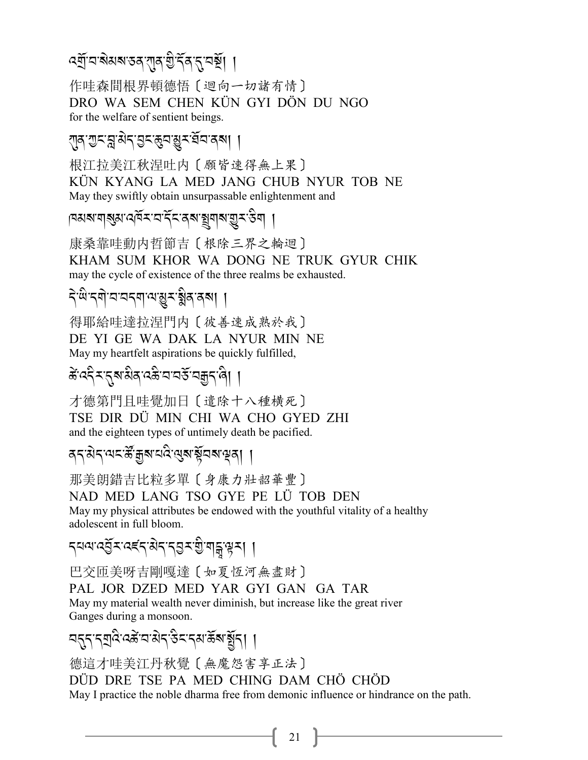# ৰ্শ্ৰ্লি'ন'ৰীমৰ'তৰ'শৰ খ্ৰী বিৰোধ নাই। ।

作哇森間根界頓德悟〔迴向一切諸有情〕 DRO WA SEM CHEN KÜN GYI DÖN DU NGO for the welfare of sentient beings.

### 

根江拉美江秋涅吐内〔願皆速得無上果〕 KÜN KYANG LA MED JANG CHUB NYUR TOB NE May they swiftly obtain unsurpassable enlightenment and

ব্যিখ নৱিপাৰ্বৰ বাৰ্ট্ৰৰ প্ৰতিষ্ঠা বি

康桑靠哇動内哲節吉〔根除三界之輪迴〕 KHAM SUM KHOR WA DONG NE TRUK GYUR CHIK may the cycle of existence of the three realms be exhausted.

# देखेन् बोघघदबायञ्जूष श्लेषा ।

得耶給哇達拉涅門内〔彼善速成熟於我〕 DE YI GE WA DAK LA NYUR MIN NE May my heartfelt aspirations be quickly fulfilled,

# ङे दद्दे र दुबाबीव दङे वावर्ड वक्कदाले। ।

才德第門目哇覺加日〔遣除十八種橫死〕 TSE DIR DÜ MIN CHI WA CHO GYED ZHI and the eighteen types of untimely death be pacified.

### ৰ্ব'ঝব'ঝব'ৰ্স্কিশ্ৰুম'ৰ্ম্ম'ৰ্ম্ম'ৰ্মুমুমুৰ্| ।

那美朗錯吉比粒多單〔身康力壯韶華豐〕 NAD MED LANG TSO GYE PE LÜ TOB DEN May my physical attributes be endowed with the youthful vitality of a healthy adolescent in full bloom.

*৲*নন্দৰ্ভু*±ৰ্হ্*ন্থৰ্/ এৰ্'ৰ্ট্ৰ'ৰ্ট্ৰ'ৰ্ট' ।

巴交匝美呀吉剛嘎達〔如夏恆河無盡財〕

PAL JOR DZED MED YAR GYI GAN GA TAR May my material wealth never diminish, but increase like the great river Ganges during a monsoon.

## 

德這才哇美江丹秋覺〔無魔怨害享正法〕 DÜD DRE TSE PA MED CHING DAM CHÔ CHÔD May I practice the noble dharma free from demonic influence or hindrance on the path.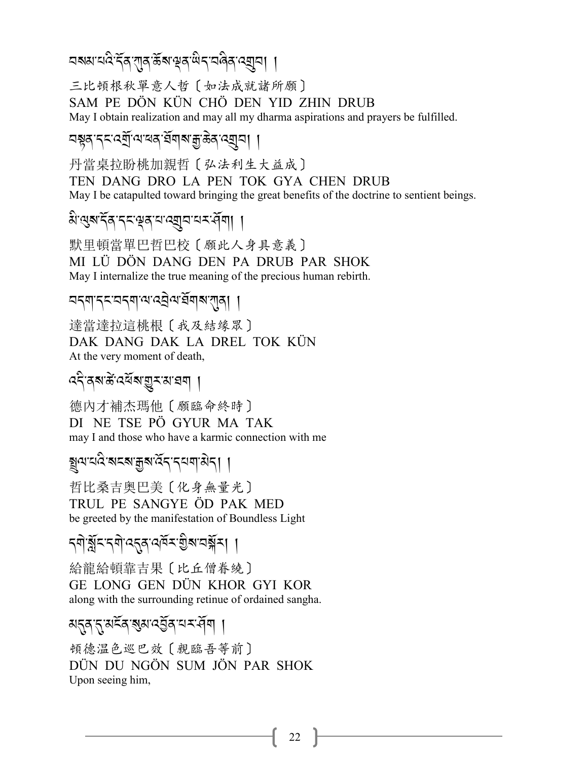# ଘঝম'য়ই ব্রি'য়ার'র্ক্রম'শ্লব'র্থিব'বর্মবা ।

三比頓根秋單意人哲〔如法成就諸所願〕 SAM PE DÖN KÜN CHÖ DEN YID ZHIN DRUB May I obtain realization and may all my dharma aspirations and prayers be fulfilled.

### নশ্বৰ ব্ৰত্ত্বব্যৰ মূৰ্ত্ত্বশ্ৰুত্তিৰ ব্ৰেন্

丹當桌拉盼桃加親哲〔弘法利生大益成〕 TEN DANG DRO LA PEN TOK GYA CHEN DRUB May I be catapulted toward bringing the great benefits of the doctrine to sentient beings.

### अञ्जूषाद्र्याद्रद्भुवायाद्युवायद्यवेषा ।

默里頓當單巴哲巴校〔願此人身具意義〕 MI LÜ DÖN DANG DEN PA DRUB PAR SHOK May I internalize the true meaning of the precious human rebirth.

### ন্দ্ৰাদ্মন্দ্ৰশান্ত্ৰীন্ম আৰু ।।

達當達拉這桃根〔我及結缘眾〕 DAK DANG DAK LA DREL TOK KÜN At the very moment of death,

# *ৎ*বিৰুজ্ঞ প্ৰযুত্ৰ সম্ভব্য

德内才補杰瑪他 [願臨命終時] DI NE TSE PÖ GYUR MA TAK may I and those who have a karmic connection with me

## ষ্ট্রন্যপ্রদ্রেশ্বর্ত্ত বিশেষ স্থাপন।

哲比桑吉奥巴美〔化身無量光〕 TRUL PE SANGYE ÖD PAK MED be greeted by the manifestation of Boundless Light

## 

給龍給頓靠吉果〔比丘僧眷繞〕 GE LONG GEN DÜN KHOR GYI KOR along with the surrounding retinue of ordained sangha.

#### মন্ন নৃষ্ট্ৰ ৰূষ্য হেঁৰ নম্বন ।

頓德温色巡巴效 [親臨吾等前] DÜN DU NGÖN SUM JÖN PAR SHOK Upon seeing him,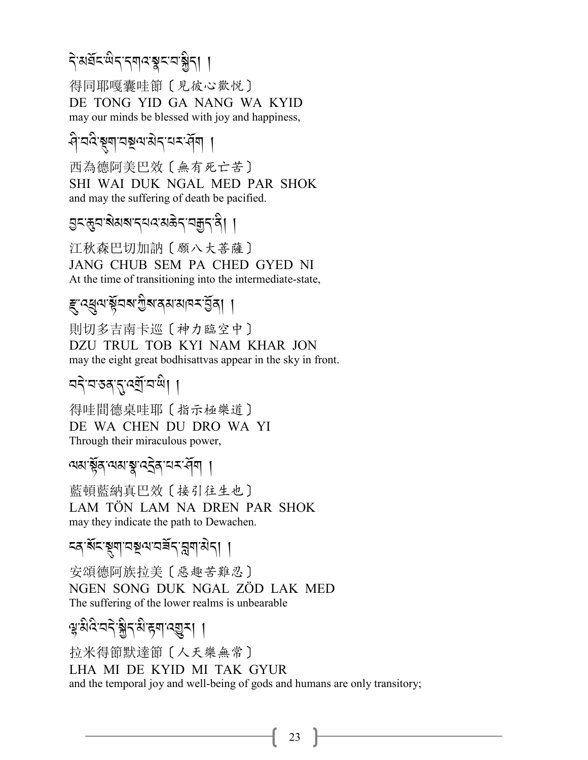# देअब्रॅद सेद दगवङ्गदा बुद्धा ।

得同耶嘎囊哇節〔見彼心歡悦〕 DE TONG YID GA NANG WA KYID may our minds be blessed with joy and happiness,

# ধিঘণ্ডুৱাত্ৰসকাৰ দেৱৰা ।

西為德阿美巴效〔無有死亡苦〕 SHI WAI DUK NGAL MED PAR SHOK and may the suffering of death be pacified.

# *ञ्ज*्ञुटाबेसबाद्यदासकेदायक्कदान्ते। ।

江秋森巴切加訥〔願八大菩薩〕 JANG CHUB SEM PA CHED GYED NI At the time of transitioning into the intermediate-state,

# *ह्* द्युव भ्रॅवब गुब दक्ष बाय कर युवा ।

則切多吉南卡巡〔神力臨空中〕 DZU TRUL TOB KYI NAM KHAR JON may the eight great bodhisattvas appear in the sky in front.

# ঘষ্টাব্যস্তৰ্জুযোত্মী ।

得哇間德桌哇耶〔指示極樂道〕 DE WA CHEN DU DRO WA YI Through their miraculous power,

## ন্মস্কুৰ নেমস্কু বইৰ নম্বন ।

藍頓藍納真巴效〔接引往生也〕 LAM TÖN LAM NA DREN PAR SHOK may they indicate the path to Dewachen.

## ≍ৰ শি≍স্থ্য নম্বন এর এন। ।

安頌德阿族拉美 [ 惡趣苦難忍] NGEN SONG DUK NGAL ZÖD LAK MED The suffering of the lower realms is unbearable

# ञ्जुश्रेदे वदे ञ्जैदशि ह्याद्युत् । ।

抗米得節默達節 [人天樂無常] LHA MI DE KYID MI TAK GYUR and the temporal joy and well-being of gods and humans are only transitory;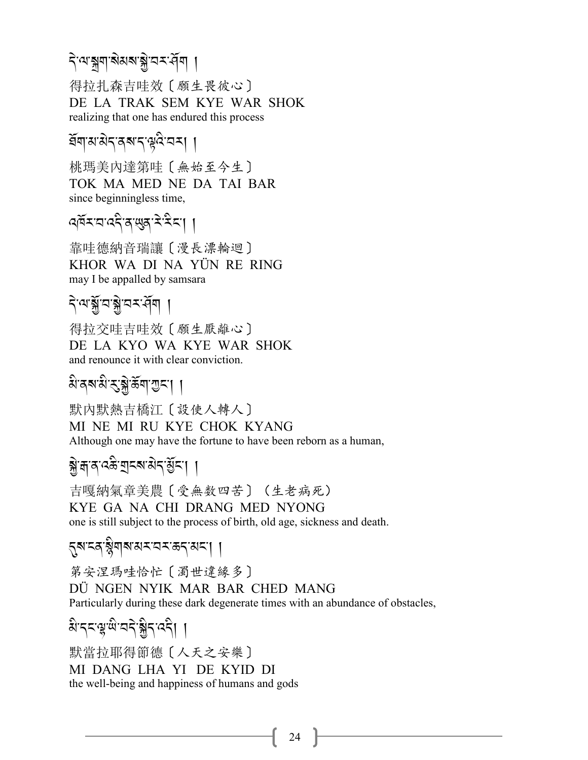# <mark>২.</mark>৩.৯৯/১৯:৬)<br>প্ৰাৰম্ভিত প্ৰাৰম্ভিত

得拉扎森吉哇效〔願生畏彼心〕 DE LA TRAK SEM KYE WAR SHOK realizing that one has endured this process

# ৰ্ঘনামন্ত্ৰৰ বাৰ্<sup>ঞ্</sup>নৰ I

桃瑪美內達第哇〔無始至今生〕 TOK MA MED NE DA TAI BAR since beginningless time,

# 4ৰ্দ্ৰম্বৰ্দ্বৰ শ্ৰম্পৰ কৰি সম্ভৱ কৰি সম্ভৱ কৰি সম্ভৱ কৰি সম্ভৱ কৰি সম্ভৱ কৰি সম্ভৱ কৰি সম্ভৱ কৰি সম্ভৱ কৰি সম্<br>প্ৰতি কৰা সম্ভৱ কৰি সম্ভৱ কৰি সম্ভৱ কৰি সম্ভৱ কৰি সম্ভৱ কৰি সম্ভৱ কৰি সম্ভৱ কৰি সম্ভৱ কৰি সম্ভৱ কৰি সম্ভৱ কৰি

靠哇德納音瑞讓〔漫長漂輪迴〕 KHOR WA DI NA YÜN RE RING may I be appalled by samsara

# ব্<sup>.</sup>শগ্মূত্ৰগ্গীয়ৰ বি

得拉交哇吉哇效〔願生厭離心〕 DE LA KYO WA KYE WAR SHOK and renounce it with clear conviction.

# ম<sup>.</sup>বৰ্শপ্ৰ: স্ক্ৰীক্সৰ বিলিপ্টি বিলিপ্টি

默內默熱吉橋江〔設使人轉人〕 MI NE MI RU KYE CHOK KYANG Although one may have the fortune to have been reborn as a human,

# **<sup>স্ক্রি, ব্রাচ্ছা**-খ্রা <mark>/</mark></sup>

吉嘎納氣章美農〔受無数四苦〕(生老病死) KYE GA NA CHI DRANG MED NYONG one is still subject to the process of birth, old age, sickness and death.

# 5ৰুম্ব ষ্ট্ৰীৰ্ম অম<sup>-</sup>মেমজন অমা |

第安涅瑪哇恰忙〔濁世違緣多〕 DÜ NGEN NYIK MAR BAR CHED MANG Particularly during these dark degenerate times with an abundance of obstacles,

# २, २<u>८</u>८८, अर्ट्स, अर्ट्यू, अर्ट्स, अर्थन्यान्ध्रीकालि<br>स्रोत

默當拉耶得節德〔人天之安樂〕 MI DANG LHA YI DE KYID DI the well-being and happiness of humans and gods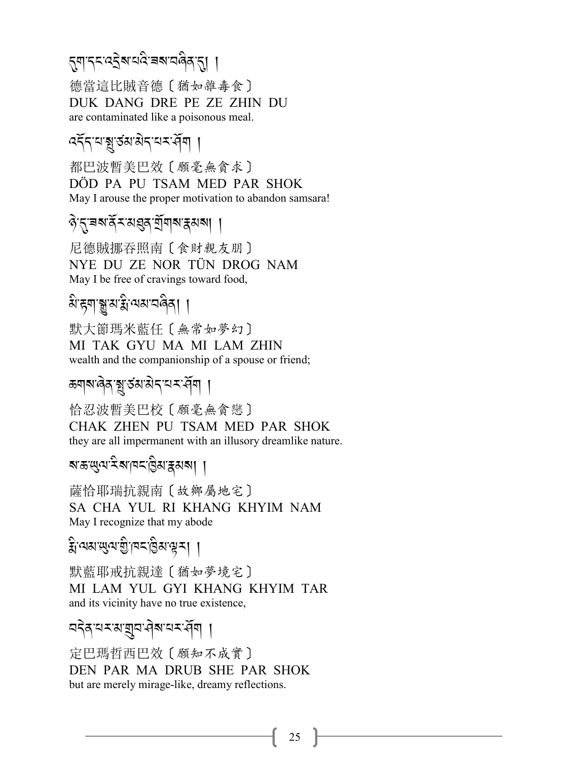#### .*\$-.% -:S* J*?-0: -9?-2 8* A*/-*.,, A

德當這比賊音德〔猶如雜毒食〕 DUK DANG DRE PE ZE ZHIN DU are contaminated like a poisonous meal.

# ৰ্ব্দ্<sup>2</sup>াস্থ্ৰ হুপ্ৰস্থাৰ বিভিন্ন

都巴波暫美巴效〔願毫無貪求〕 DÖD PA PU TSAM MED PAR SHOK May I arouse the proper motivation to abandon samsara!

# $\delta$ <sup>-</sup>মৃ-ৰম্বি<sup>-</sup>মন্ত্ৰ্য যুৱাৰাক্ষ্মৰা ।

尼德賊挪吞照南〔食財親友朋〕 NYE DU ZE NOR TÜN DROG NAM May I be free of cravings toward food,

#### $\alpha$ 'ह्य|স্তু'ম'ষ্ট'ম্মম'নন্দী | .<br>.

默大節瑪米藍任〔無常如夢幻〕 MI TAK GYU MA MI LAM ZHIN wealth and the companionship of a spouse or friend;

# *&শ*্প্ৰস্থাৰ্ড স্পৰ্ট সম্পৰ্কী ।

恰忍波暫美巴校〔願毫無貪戀〕 CHAK ZHEN PU TSAM MED PAR SHOK they are all impermanent with an illusory dreamlike nature.

# *?-(-*;*=- <* A*?- #% -H* A*3-i3 ?*,,

薩恰耶瑞抗親南〔故鄉屬地宅〕 SA CHA YUL RI KHANG KHYIM NAM May I recognize that my abode

#### $\widehat{\mathbf{f}}_1$ 'ঝম'ঋ্ম'গ্ৰী<sup>-</sup>| | A

默藍耶戒抗親達〔猶如夢境宅〕 MI LAM YUL GYI KHANG KHYIM TAR and its vicinity have no true existence,

# বইৰ্'<sup>নহায়ে</sup>ত্ৰীয় প্ৰমন্ত্ৰী |

定巴瑪哲西巴效〔願知不成實〕 DEN PAR MA DRUB SHE PAR SHOK but are merely mirage-like, dreamy reflections.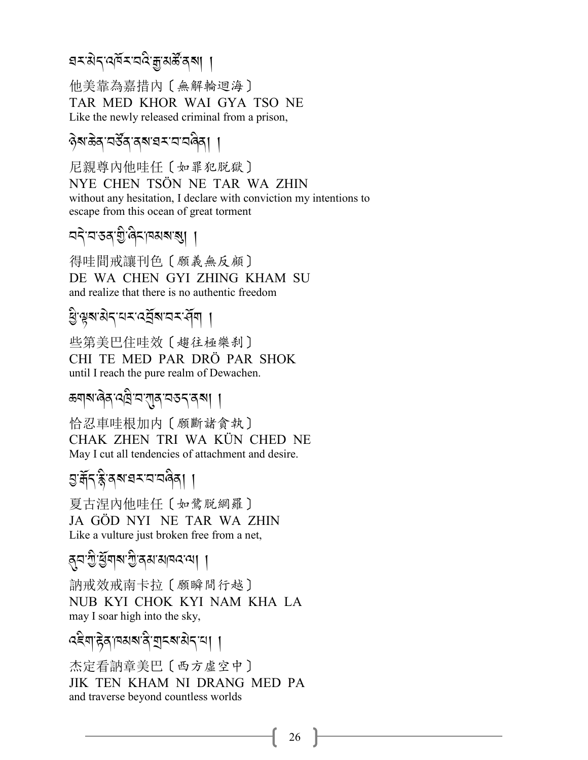# ঘশ*ৰ্ষৰ বাই আৰু সম্ভূপৰ* পৰি

他美靠為嘉措內〔無解輪迴海〕 TAR MED KHOR WAI GYA TSO NE Like the newly released criminal from a prison,

#### ?<br>?अ<sup>.</sup>ङेव्'यर्डेव्'व्**वर्श्यय**ः यावेवा । .<br>.<br>. .<br>.

尼親尊內他哇任〔如罪犯脱獄〕 NYE CHEN TSÖN NE TAR WA ZHIN without any hesitation, I declare with conviction my intentions to escape from this ocean of great torment

# বব্<sup>:</sup>বস্প্ৰ' (বিশ্ৰম্প প্ৰা

得哇間戒讓刊色〔願義無反顧〕 DE WA CHEN GYI ZHING KHAM SU and realize that there is no authentic freedom

# *K* A*-v?- 3* J*.-0 <-:V*R*?-2<- >*R*\$*,

些第美巴住哇效〔趨往極樂刹〕 CHI TE MED PAR DRÖ PAR SHOK until I reach the pure realm of Dewachen.

# *ক্সা*ৰ্মাণ্টৰ স্মান স্মান স্মান স্মান স্মান স্মান স্মান স্মান স্মান স্মান স্মান স্মান স্মান স্মান স্মান স্মান<br>স্মান স্মান স্মান স্মান স্মান স্মান স্মান স্মান স্মান স্মান স্মান স্মান স্মান স্মান স্মান স্মান স্মান স্মান স্

恰忍車哇根加内〔願斷諸貪執〕 CHAK ZHEN TRI WA KÜN CHED NE May I cut all tendencies of attachment and desire.

# এ:ৰ্ক্ৰি<sup>,</sup>ৰ্ক্ন'ৰ্মৰম্মৰ বিধা

夏古涅內他哇任〔如鷺脱網羅〕 JA GÖD NYI NE TAR WA ZHIN Like a vulture just broken free from a net,

# /*2-G* A*-K*R*\$?-G* A*-/3- 3#:- =*,,

訥戒效戒南卡拉〔願瞬間行越〕 NUB KYI CHOK KYI NAM KHA LA may I soar high into the sky,

#### ৰইণ্'ইৰ্'<sub>(</sub>ৰমৰ'ৰী'মূৰ্বৰ'ৰ্থৰ' | .<br>.

杰定看訥章美巴〔西方虛空中〕 JIK TEN KHAM NI DRANG MED PA and traverse beyond countless worlds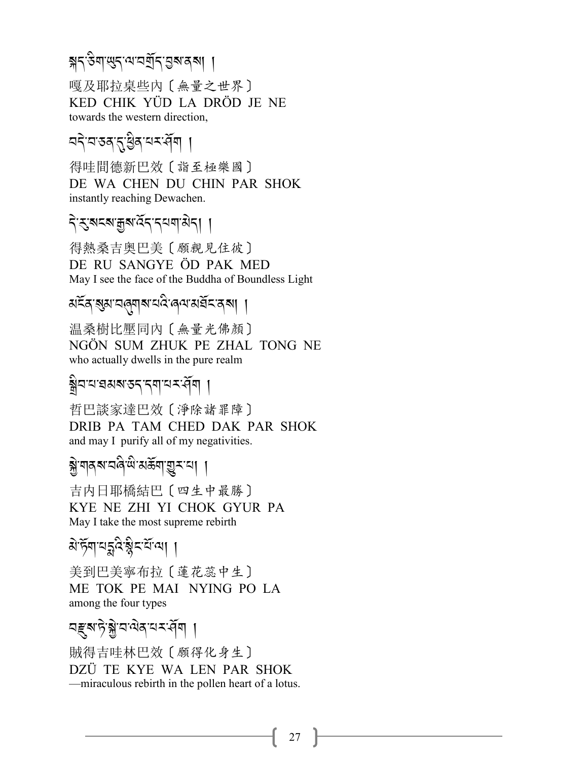# স্ক্রন্ট্সাত্ত্বব্দ্র্যন্ত্রন্য ।

嘎及耶拉桌些内〔無量之世界〕 KED CHIK YÜD LA DRÖD JE NE towards the western direction.

# ন্দৰ সম্ভিক নম্বন্দৰ ।

得哇間德新巴效〔詣至極樂國〕 DE WA CHEN DU CHIN PAR SHOK instantly reaching Dewachen.

# दे रुषदबाक्कबादेदादयवासेदा ।

得熱桑吉奥巴美〔願親見住彼〕 DE RU SANGYE ÖD PAK MED May I see the face of the Buddha of Boundless Light

# মইৰ ৰূপ বৰ্ষৰ বে ৰেন প্ৰয়ন্ত্ৰ ৰা ।

温桑樹比壓同內〔無量光佛顏〕 NGÖN SUM ZHUK PE ZHAL TONG NE who actually dwells in the pure realm

## <u>ङ</u>्गीयपश्चराञ्चार अपि ।

哲巴談家達巴效〔淨除諸罪障〕 DRIB PA TAM CHED DAK PAR SHOK and may I purify all of my negativities.

### <u> ঝ</u>ুঁ শব্মখন্দ্র শ্রিমিউনা ভ্রুমান। ।

吉内日耶橋結巴〔四生中最勝〕 KYE NE ZHI YI CHOK GYUR PA May I take the most supreme rebirth

# ঐৰ্দ্যশন্ধ<sup>ৰ স্কু</sup>নৰ্শিত্ৰা ।

美到巴美寧布拉〔蓮花蕊中生〕 ME TOK PE MAI NYING PO LA among the four types

## নহ্ৰুম'দৃ'ষ্ক্ৰ'ন'ন্মক'ন্মৰ ।

賊得吉哇林巴效〔願得化身生〕 DZÜ TE KYE WA LEN PAR SHOK - miraculous rebirth in the pollen heart of a lotus.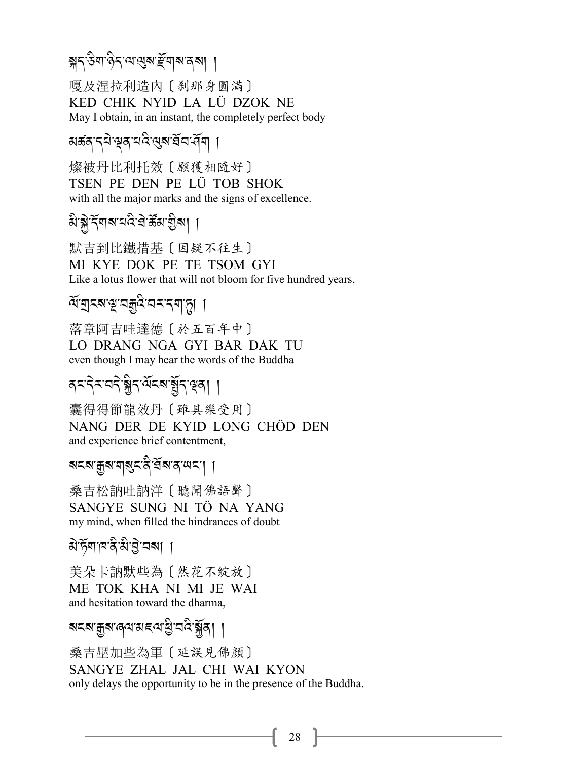# স্নন্উন্দণ্ডনম্মেইনোৰাজ্য। ।

嘎及涅拉利造内〔刹那身圆满〕 KED CHIK NYID LA LÜ DZOK NE May I obtain, in an instant, the completely perfect body

### য়ৼ্থ প্রক্রান্ত প্রাপ্ত বিদ্রা

燦被丹比利托效〔願獲相隨好〕 TSEN PE DEN PE LÜ TOB SHOK with all the major marks and the signs of excellence.

# ষ্টার্শ্ববাৰ অবিদ্রান্ত্র্যা ।

默吉到比鐵措基〔因疑不往生〕 MI KYE DOK PE TE TSOM GYI Like a lotus flower that will not bloom for five hundred years,

# ম্মুহৰ মুম্বক্ৰুবিবেমন্মাড়া ।

落章阿吉哇達德〔於五百年中〕 LO DRANG NGA GYI BAR DAK TU even though I may hear the words of the Buddha

### <u> दद्दियवदेश्वैदर्श्यद्रबार्युद्धिता ।</u>

囊得得節龍效丹〔雖具樂受用〕 NANG DER DE KYID LONG CHÖD DEN and experience brief contentment,

#### মহম'ক্কুম'মা্মুহ'ৰ 'ৰ্শ্ৰম'ৰ'ঋহ'। ।

桑吉松訥吐訥洋〔聽聞佛語聲〕 SANGYE SUNG NI TÖ NA YANG my mind, when filled the hindrances of doubt

## ঐৰ্দ্যশাম্বিষ্টাট্ট'নৰা ।

美朵卡訥默些為 [然花不綻放] ME TOK KHA NI MI JE WAI and hesitation toward the dharma,

# बदबाक्कुबालयासदयाञ्चे वदि ब्लॅव। ।

桑吉壓加些為軍〔延誤見佛顏〕 SANGYE ZHAL JAL CHI WAI KYON only delays the opportunity to be in the presence of the Buddha.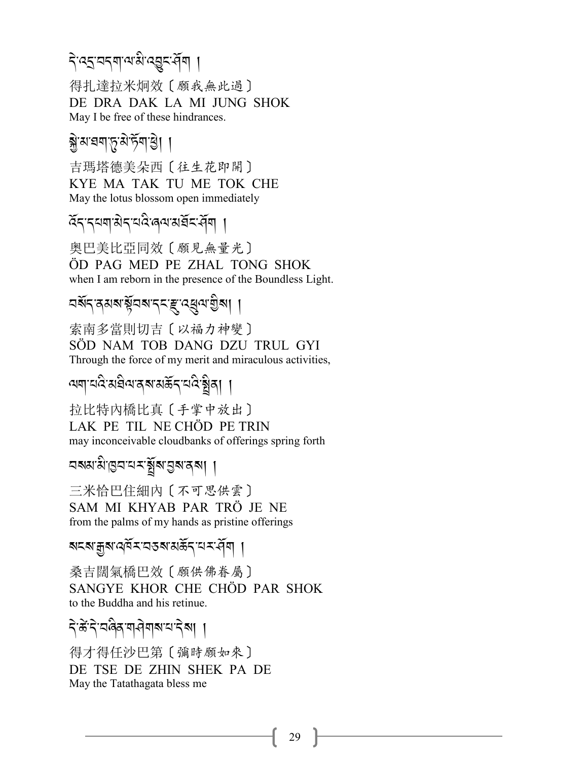# देख्इ वद्यालको उच्च संवा ।

得扎達拉米炯效〔願我無此過〕 DE DRA DAK LA MI JUNG SHOK May I be free of these hindrances.

## ब्रे अध्यया कृत्य केया डी

吉瑪塔德美朵西〔往生花即開〕 KYE MA TAK TU ME TOK CHE May the lotus blossom open immediately

হ্নের্ঘনাস্ত্রার্থপ্রেন্মইনর্দ্রিশ ।

奥巴美比亞同效〔願見無量光〕 ÖD PAG MED PE ZHAL TONG SHOK when I am reborn in the presence of the Boundless Light.

# নর্থন রমমার্ষ্ণনমাননম্ভ্রার্থেনাগ্রীমা ।

索南多當則切吉〔以福力神變〕 SÖD NAM TOB DANG DZU TRUL GYI Through the force of my merit and miraculous activities.

ययायदि अवैवादबारार्केन यदि श्वेता ।

拉比特内橋比真〔手掌中放出〕 LAK PE TIL NE CHÖD PE TRIN may inconceivable cloudbanks of offerings spring forth

নমমামান্তনামমন্ত্ৰীৰান্তৰাৰৰা ।

三米恰巴住細内〔不可思供雲〕 SAM MI KHYAB PAR TRÖ JE NE from the palms of my hands as pristine offerings

<u> মহম'ক্কুম'ঝ্ৰ্মহ'বেহম'মৰ্হ্মহ'ৰ্মৰ ।</u>

桑吉闊氣橋巴效〔願供佛眷屬〕 SANGYE KHOR CHE CHÖD PAR SHOK to the Buddha and his retinue.

## दे केंदे वलेव गरीगबाय देवा ।

得才得任沙巴第〔彌時願如來〕 DE TSE DE ZHIN SHEK PA DE May the Tatathagata bless me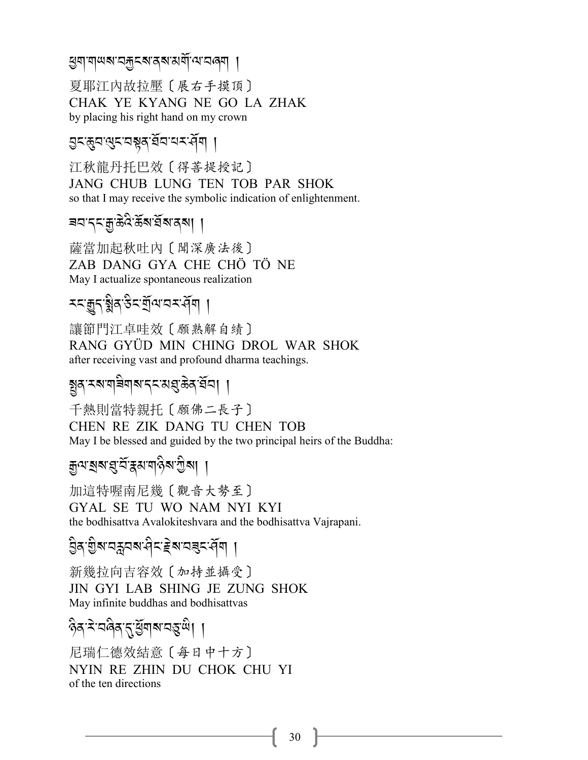#### *ধ্ৰু*ণাশৰখনকুনৰাৰ্শকামৰ্শ পৰি বি

夏耶江內故拉壓〔展右手摸頂〕 CHAK YE KYANG NE GO LA ZHAK by placing his right hand on my crown

 $2$ <: মুন'থ্<'নশ্পৰ'ৰ্মন'মন্দ্ৰী ।

江秋龍丹托巴效〔得菩提授記〕 JANG CHUB LUNG TEN TOB PAR SHOK so that I may receive the symbolic indication of enlightenment.

*92-.% -o-(* J*:* A*-(*R*?-,*R*?-/?*,,

薩當加起秋吐內〔聞深廣法後〕 ZAB DANG GYA CHE CHÖ TÖ NE May I actualize spontaneous realization

# \*<:ৰূন্<sup>ত্বু</sup>ৰ্স্ত<sup>ূ</sup>হল্লিক প্ৰি

讓節門江卓哇效〔願熟解自績〕 RANG GYÜD MIN CHING DROL WAR SHOK after receiving vast and profound dharma teachings.

# ষ্টব, <u>-</u><br>ইপ্ৰ, - প্ৰাৰম্ভ, - (২,১প্ৰ, প্ৰক্ৰ, বিভি

千熱則當特親托〔願佛二長子〕 CHEN RE ZIK DANG TU CHEN TOB May I be blessed and guided by the two principal heirs of the Buddha:

#### ক্ৰুণ্মগ্ৰস্থ ইন্ধিমশ<mark>ুই</mark> গীত্ৰ। । A The contract of the contract of the contract of the contract of the contract of the contract of the contract of the contract of the contract of the contract of the contract of the contract of the contract of the contract

加這特喔南尼幾〔觀音大勢至〕 GYAL SE TU WO NAM NYI KYI the bodhisattva Avalokiteshvara and the bodhisattva Vajrapani.

# <u>3</u>ै9 अप्टेंट्स्ट्रें अप्टेंट्स्ट्रिय ।

新幾拉向吉容效〔加持並攝受〕 JIN GYI LAB SHING JE ZUNG SHOK May infinite buddhas and bodhisattvas

#### <sup>8</sup>३४:दिवेब रु दुँग राज्ञ्छ<sup>,</sup> । A

尼瑞仁德效結意〔每日中十方〕 NYIN RE ZHIN DU CHOK CHU YI of the ten directions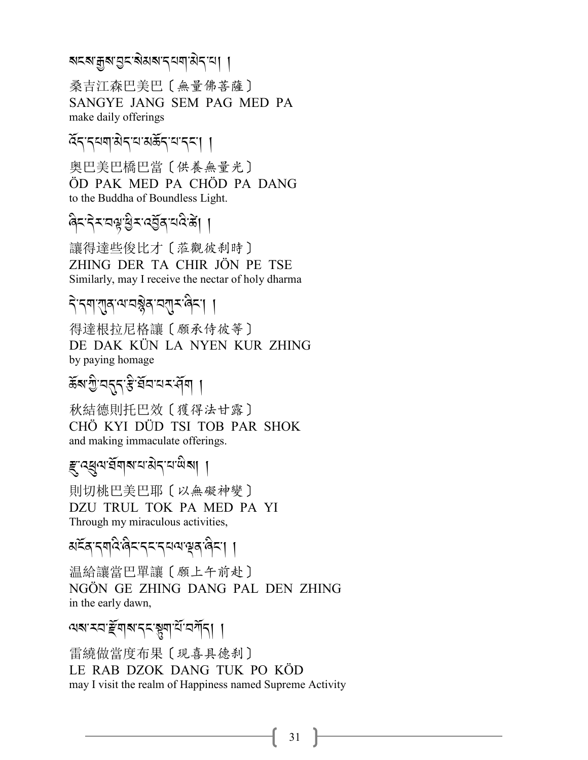#### ৰ্মহৰ্মক্ৰীয়ৰ প্ৰাপ্ত বিভিন্ন সম্পৰ্ক সম্পৰ্ক সম্পৰ্ক সম্পৰ্ক সম্পৰ্ক সম্পৰ্ক সম্পৰ্ক সম্পৰ্ক সম্পৰ্ক সম্পৰ্ক<br>ৰাজ্য .<br>.

桑吉江森巴美巴〔無量佛菩薩〕 SANGYE JANG SEM PAG MED PA make daily offerings

# ৰ্হিন'ব্ৰম্<sup>পৰ</sup>্বাৰ্<sup>প</sup>ৰ্শ স্পৰ্শ ।

奥巴美巴橋巴當〔供養無量光〕 ÖD PAK MED PA CHÖD PA DANG to the Buddha of Boundless Light.

# .<br>बेटन्*रं टब्रिट्रेटर् दुर्वेदर् दुर्वेदर्श*।

讓得達些俊比才〔蒞觀彼刹時〕 ZHING DER TA CHIR JÖN PE TSE Similarly, may I receive the nectar of holy dharma

#### *-*<br>বিদ্যান্ত্ৰৰ সম্ভিদ বিদ্যা .<br>.

得達根拉尼格讓〔願承侍彼等〕 DE DAK KÜN LA NYEN KUR ZHING by paying homage

# ৰ্হুস্ৰান্ট্ৰাষ্ট্ৰ বিদ্যালয় বিভিন্ন কৰি বিদ্যালয় কৰি স্থাপনি কৰি স্থাপনি কৰি স্থাপনি কৰি স্থাপনি কৰি স্থাপন<br>ভাৰত স্থাপনি কৰি স্থাপনি কৰা স্থাপনি কৰি স্থাপনি কৰি স্থাপনি কৰি স্থাপনি কৰি স্থাপনি কৰি স্থাপনি কৰি স্থাপনি

秋結德則托巴效〔獲得法甘露〕 CHÖ KYI DÜD TSI TOB PAR SHOK and making immaculate offerings.

# *ই*: ব্ৰুন্ম ইন্ম ন'ন'মীৰ্মা |

則切桃巴美巴耶〔以無礙神變〕 DZU TRUL TOK PA MED PA YI Through my miraculous activities,

#### মৰ্হৰ ব্ৰাণী জিলাৰ বিদ্যালয়ৰ বিদ্যা A Contractor

温給讓當巴單讓〔願上午前赴〕 NGÖN GE ZHING DANG PAL DEN ZHING in the early dawn,

### <u>as a particle in the set of the set of the set of the set of the set of the set of the set of the set of the s</u>

雷繞做當度布果〔現喜具德刹〕 LE RAB DZOK DANG TUK PO KÖD may I visit the realm of Happiness named Supreme Activity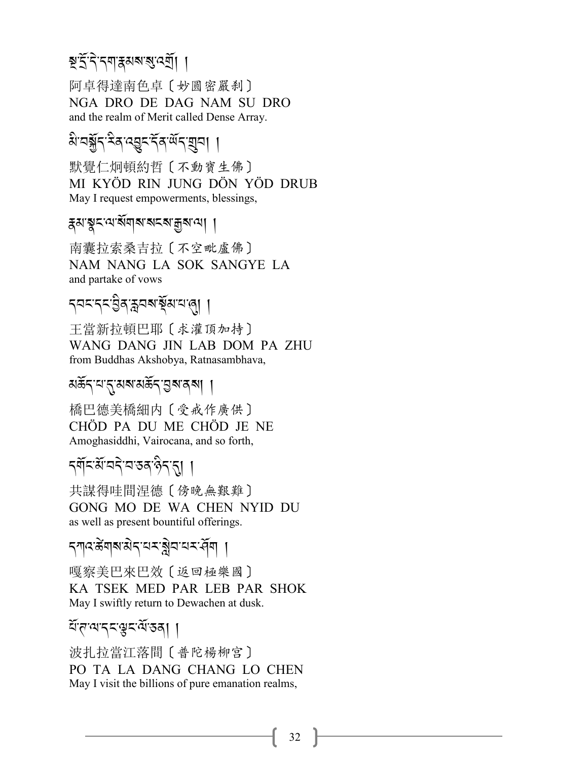# ষ্ট্ৰই, <u>বিনাৰ্থ ৰাজ্য ৰেম</u>্

阿卓得達南色卓〔妙圓密嚴刹〕 NGA DRO DE DAG NAM SU DRO and the realm of Merit called Dense Array.

# *প্ৰ*:বৰ্ষ্ট্ৰ-পূৰ্ণ <u>(</u> 22- )

默覺仁炯頓約哲〔不動寶生佛〕 MI KYÖD RIN JUNG DÖN YÖD DRUB May I request empowerments, blessings,

### *\**<br>?Present and *Para* ?-

南囊拉索桑吉拉〔不空毗盧佛〕 NAM NANG LA SOK SANGYE LA and partake of vows

# ন্ননন্দ:ব্ৰিয়ন্মৰাষ্ট্ৰমান্দ**্ৰা** ।

王當新拉頓巴耶〔求灌頂加持〕 WANG DANG JIN LAB DOM PA ZHU from Buddhas Akshobya, Ratnasambhava,

### *মৰ্ক্ৰ*ন্'য'ন্'মৰ'মৰ্ক্ৰন'ম্ৰৰ্শ ।

橋巴德美橋細内〔受戒作廣供〕 CHÖD PA DU ME CHÖD JE NE Amoghasiddhi, Vairocana, and so forth,

# *.\$*R*%-3*R*-2.* J*-2-&/-\** A*.-*.,,

共謀得哇間涅德〔傍晚無艱難〕 GONG MO DE WA CHEN NYID DU as well as present bountiful offerings.

#### <mark>২১৯২৯ সংস্কৃত প্ৰস</mark>ম্পৰ্কী সম্পৰ্কী .<br>.<br>.

嘎察美巴來巴效〔返回極樂國〕 KA TSEK MED PAR LEB PAR SHOK May I swiftly return to Dewachen at dusk.

### মঁ*ন'*ম'নম্মুন'ৰ্ম'ডৰা ।

波扎拉當江落間〔普陀楊柳宫〕 PO TA LA DANG CHANG LO CHEN May I visit the billions of pure emanation realms,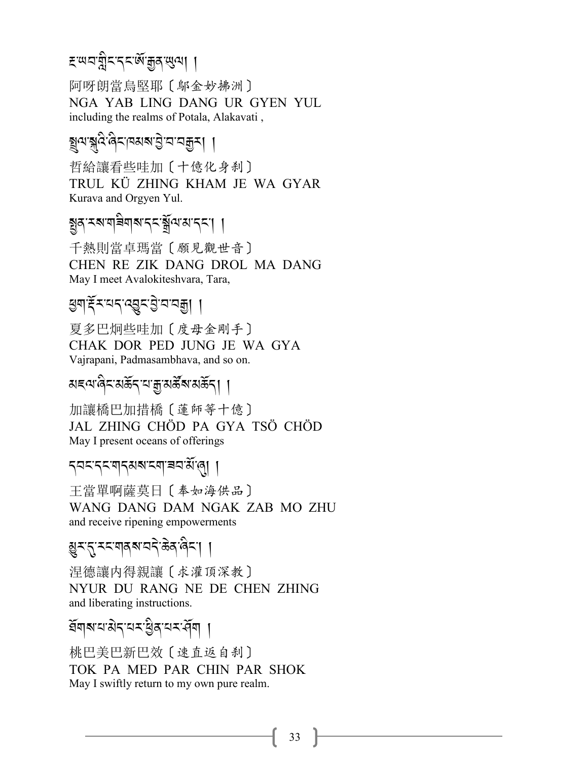# 

阿呀朗當烏堅耶〔鄔金妙拂洲〕 NGA YAB LING DANG UR GYEN YUL including the realms of Potala, Alakavati,

# য়৸য়৸৻ৼৢ৻৸৸ৼ৸৸৸৸

哲給讓看些哇加〔十億化身刹〕 TRUL KU ZHING KHAM JE WA GYAR Kurava and Orgyen Yul.

# য়ৣঽ<sup>੶</sup>৲য়য়য়৾য়৸য়ৼ৻য়ৣ৾৻৻য়য়ৼঢ়য়

千熱則當卓瑪當 〔願見觀世音〕 CHEN RE ZIK DANG DROL MA DANG May I meet Avalokiteshvara, Tara,

## রিনাধুধরে প্রতিষ্ঠা বিদ্রা ।

夏多巴炯些哇加〔度母金剛手〕 CHAK DOR PED JUNG JE WA GYA Vajrapani, Padmasambhava, and so on.

### য়ৼ<sub>৾</sub>৻৸৻ড়ৼৼয়ড়ৼ৸য়৾ৼঢ়ড়ৼৢৼ৸ড়ৼ৸

加讓橋巴加措橋〔蓮師等十億〕 JAL ZHING CHÖD PA GYA TSÖ CHÖD May I present oceans of offerings

#### ব্বব্ব্ব্ব্ব্ব্ব্য্য বেশ্ব্র্য্ এ ।

干當單啊薩莫日〔奉如海供品〕 WANG DANG DAM NGAK ZAB MO ZHU and receive ripening empowerments

### য়ৣৼৼ৻ৼয়য়য়য়য়ঀ৾ৼ৻ড়৸ড়ৼৗ

涅德讓内得親讓〔求灌頂深教〕 NYUR DU RANG NE DE CHEN ZHING and liberating instructions.

## ইনাৰায়ার বিষয়ী ।

桃巴美巴新巴效〔速直返自刹〕 TOK PA MED PAR CHIN PAR SHOK May I swiftly return to my own pure realm.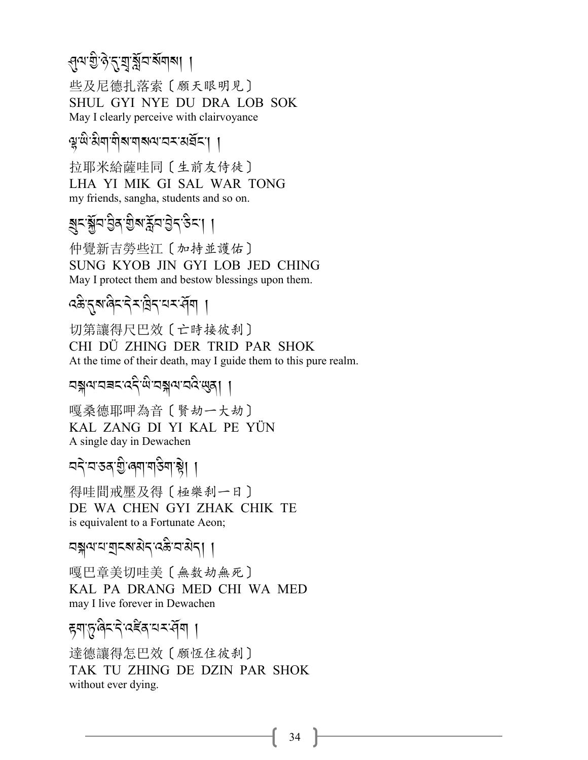#### >*=-I - \** J*-*.*-*9*- a*R*2-?*R*\$?*,, A

些及尼德扎落索〔願天眼明見〕 SHUL GYI NYE DU DRA LOB SOK May I clearly perceive with clairvoyance

# প্প<sup>:</sup>শ্বিম<sub>-</sub>খ্যাৰ্থ প্ৰস্ক্ৰম্প (

拉耶米給薩哇同〔生前友侍徒〕 LHA YI MIK GI SAL WAR TONG my friends, sangha, students and so on.

# ৰ্*শ্ৰম্প্ৰাইম স্থি*ন বিদ্ৰান্ত <mark>/</mark>

仲覺新吉勞些江〔加持並護佑〕 SUNG KYOB JIN GYI LOB JED CHING May I protect them and bestow blessings upon them.

# ৰ্ক্ট<sup>-</sup>মুখ্য জিৱাৰী প্ৰকল্প পৰি স্থা

切第讓得尺巴效〔亡時接彼刹〕 CHI DÜ ZHING DER TRID PAR SHOK At the time of their death, may I guide them to this pure realm.

# বন্ধ্বানৰ প্ৰদেশ বৰ্ষ পৰি স্পৰ্ট কৰি স্পৰ্ট কৰি স্পৰ্ট কৰি স্পৰ্ট কৰি স্পৰ্ট কৰি স্পৰ্ট কৰি স্পৰ্ট কৰি স্পৰ্ট ক<br>বৰ্ষ প্ৰদেশৰ স্পৰ্ট কৰি স্পৰ্ট কৰি স্পৰ্ট কৰি স্পৰ্ট কৰি স্পৰ্ট কৰি স্পৰ্ট কৰি স্পৰ্ট কৰি স্পৰ্ট কৰি স্পৰ্ট ক

嘎桑德耶呷為音〔賢劫一大劫〕 KAL ZANG DI YI KAL PE YÜN A single day in Dewachen

#### বব্<sup>:</sup>ব'কৰ্'গ্ৰী'ৰ্শ'ৰ্ষী | A International Content

得哇間戒壓及得〔極樂刹一日〕 DE WA CHEN GYI ZHAK CHIK TE is equivalent to a Fortunate Aeon;

# বন্গুঅ:ব্যব্ৰম্<sup>প</sup>ৰ বিদ্যালয় বি

嘎巴章美切哇美〔無数劫無死〕 KAL PA DRANG MED CHI WA MED may I live forever in Dewachen

# *हु*बालुखिट देख्द्द्र द्विष ।

達德讓得怎巴效〔願恆住彼刹〕 TAK TU ZHING DE DZIN PAR SHOK without ever dying.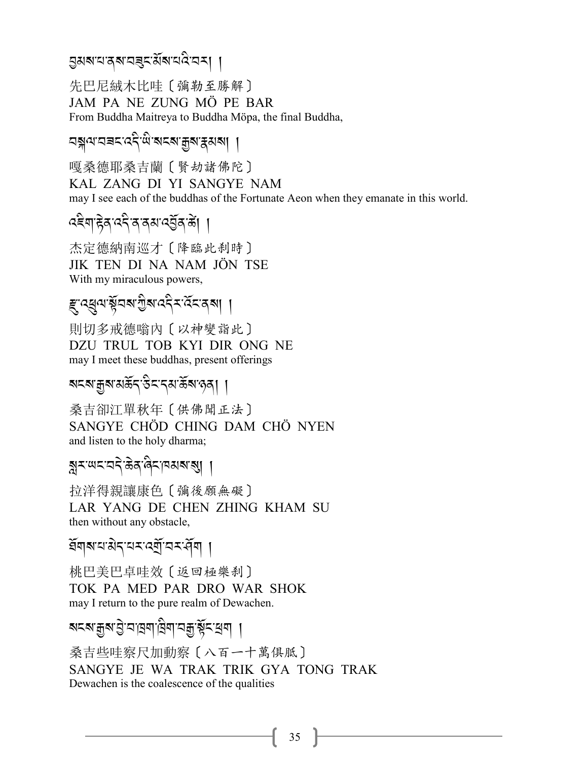### এখনরেশনৰূম্য্য নার্য না

先巴尼絨木比哇 [ 彌勒至勝解 ] JAM PA NE ZUNG MÖ PE BAR From Buddha Maitreya to Buddha Möpa, the final Buddha,

নঙ্গীত্ৰাসভাৰে প্ৰত্যাপ্ৰাপ্ত প্ৰত্যাপ্ৰা

嘎桑德耶桑吉蘭〔賢劫諸佛陀〕 KAL ZANG DI YI SANGYE NAM may I see each of the buddhas of the Fortunate Aeon when they emanate in this world.

杰定德納南巡才〔降臨此刹時〕 JIK TEN DI NA NAM JÖN TSE With my miraculous powers,

*ह्* 'ব্ধুন'য়ুঁবৰ গুৰু বেই বৰ্তনেৰা ।

則切多戒德嗡內〔以神變詣此〕 DZU TRUL TOB KYI DIR ONG NE may I meet these buddhas, present offerings

### মহম'ক্কুম'মর্ক্রিব'উহ'ব্ম'র্ক্রম'নৃষ্|া

桑吉卻江單秋年〔供佛聞正法〕 SANGYE CHÖD CHING DAM CHÖ NYEN and listen to the holy dharma;

### য়ৼ<sup>৻</sup>ড়ৼড়ৼ৾ড়ৼ৻ড়ৼ৻ড়য়ৼ৻য়

抗洋得親讓康色〔彌後願無礙〕 LAR YANG DE CHEN ZHING KHAM SU then without any obstacle,

ইনাৰায়াপুৰিয়াৰ পূৰ্বীয় পৰি

桃巴美巴卓哇效〔返回極樂刹〕 TOK PA MED PAR DRO WAR SHOK may I return to the pure realm of Dewachen.

## ব্যক্ষয়ুৰ ট্ৰান্নৱাদ্বিনা বহীৰ্ষ্ট ব্ৰৱা ।

桑吉些哇察尺加動察〔八百一十萬俱胝〕 SANGYE JE WA TRAK TRIK GYA TONG TRAK Dewachen is the coalescence of the qualities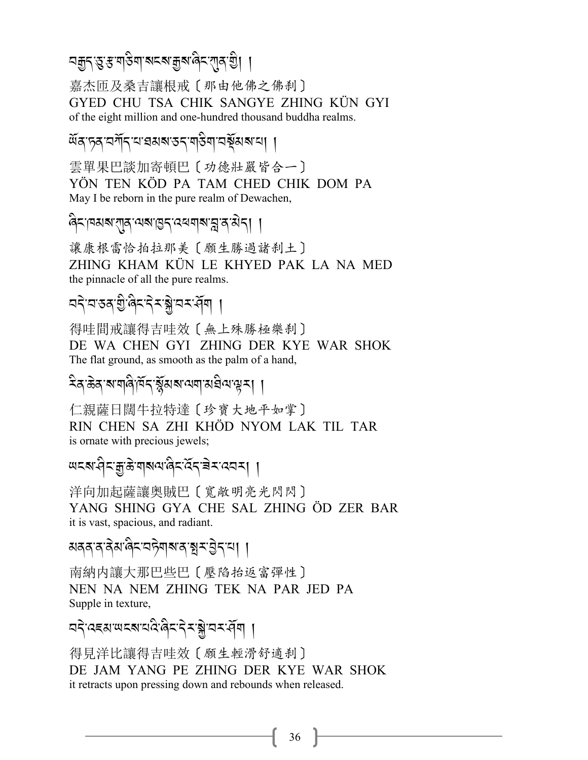# 

嘉杰匝及桑吉讓根戒〔那由他佛之佛刹〕 GYED CHU TSA CHIK SANGYE ZHING KÜN GYI of the eight million and one-hundred thousand buddha realms.

অঁৰ চৰ বৰ্শিব বাৰমৰ তব শতিৰা বৰ্ষমৰ বা

雲單果巴談加寄頓巴〔功德壯嚴皆合一〕 YÖN TEN KÖD PA TAM CHED CHIK DOM PA May I be reborn in the pure realm of Dewachen,

ৰিমান্মৰাশ্ৰমুখৰাগুমুখৰৰাৰামুখৰাৰী ।

讓康根雷恰拍拉那美〔願生勝過諸刹土〕 ZHING KHAM KÜN LE KHYED PAK LA NA MED the pinnacle of all the pure realms.

# ঘই'ঘ'ঙৰ'গ্ৰু'ৰিহ'ইহ'ক্লু'ঘহ'ৰ্ধ্ৰি ।

得哇間戒讓得吉哇效〔無上殊勝極樂刹〕 DE WA CHEN GYI ZHING DER KYE WAR SHOK The flat ground, as smooth as the palm of a hand,

<sup>ঽ</sup>ঽ<sup>৽</sup>ড়ঽ<sup>৻</sup>য়য়ঀ৾ঀঢ়ঽৼয়ৢয়য়ড়য়য়য়য়৸য়য়

仁親薩日闊牛拉特達〔珍寶大地平如掌〕 RIN CHEN SA ZHI KHÔD NYOM LAK TIL TAR is ornate with precious jewels;

洋向加起薩讓奧賊巴〔寬敞明亮光閃閃〕 YANG SHING GYA CHE SAL ZHING ÖD ZER BAR it is vast, spacious, and radiant.

য়ৰৰ'ৰ'ৰ ম'ৰিম'মইনৰ'ৰ'ৰ মুম'ট্ৰম'মা ।

南納内讓大那巴些巴〔壓陷抬返富彈性〕 NEN NA NEM ZHING TEK NA PAR JED PA Supple in texture,

**อริ** สะสะพรส สลิสริม

得見洋比讓得吉哇效〔願生輕滑舒適刹〕 DE JAM YANG PE ZHING DER KYE WAR SHOK it retracts upon pressing down and rebounds when released.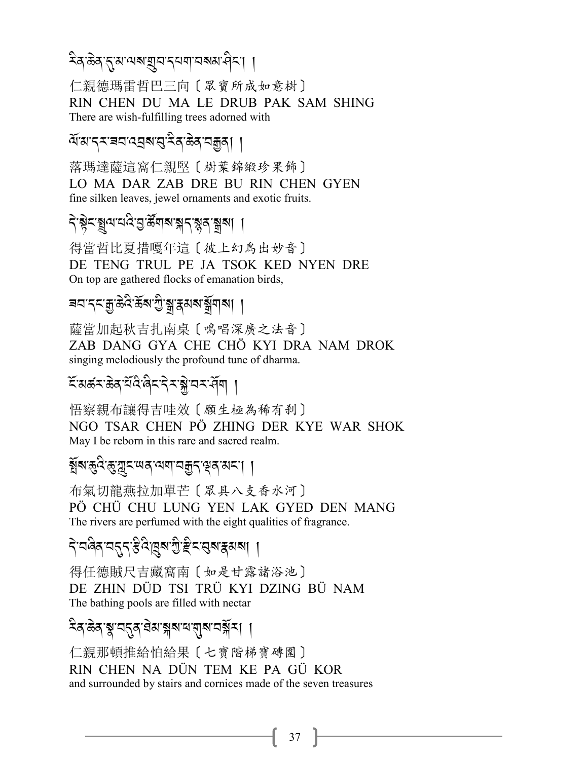#### देव ळेव तुःसः सबाञ्चयः दयमाञ्चित्रायाः । .<br>.

仁親德瑪雷哲巴三向〔眾寶所成如意樹〕 RIN CHEN DU MA LE DRUB PAK SAM SHING There are wish-fulfilling trees adorned with

#### ৰ্শ্ম'ব্<sup>য</sup>ৰ'ৰ্থ'ৰ্'ইৰ্'ক্টৰ্'নক্কুৰ্| | .<br>.

落瑪達薩這窩仁親堅〔樹葉錦緞珍果飾〕 LO MA DAR ZAB DRE BU RIN CHEN GYEN fine silken leaves, jewel ornaments and exotic fruits.

#### *-*<br>বৃষ্ট্ৰন-ব্ৰুন্মব্ৰে, ব্ৰুন্নৰ প্ৰাৰম্ভ বিভিন্ন প্ৰাৰম্ভ বি J

得當哲比夏措嘎年這〔彼上幻鳥出妙音〕 DE TENG TRUL PE JA TSOK KED NYEN DRE On top are gathered flocks of emanation birds,

# ৰব'ব্ব'ফ্ৰ'ৰ্ক্ট'ৰ্ম্ব'ৰ্মৰ'ৰ্মুশৰ্ম| |

薩當加起秋吉扎南桌〔鳴唱深廣之法音〕 ZAB DANG GYA CHE CHÖ KYI DRA NAM DROK singing melodiously the profound tune of dharma.

#### হঁ:মৰ্ক্ৰ'ব্ৰুদ্ৰ'ব্ৰিম্বৰ বিশ্<sup>ব</sup>া J

悟察親布讓得吉哇效〔願生極為稀有刹〕 NGO TSAR CHEN PÖ ZHING DER KYE WAR SHOK May I be reborn in this rare and sacred realm.

# ৰ্গ্ন্ম*-*জুমুন্মেৰ্'ম্বান্মকুন্'শ্ৰ্ম্ন' |

布氣切龍燕拉加單芒〔眾具八支香水河〕 PÖ CHÜ CHU LUNG YEN LAK GYED DEN MANG The rivers are perfumed with the eight qualities of fragrance.

#### दे.चखुर्य.सी.अं.अर्.म्रार्थ.सी.। .<br>.<br>.

得任德賊尺吉藏窩南〔如是甘露諸浴池〕 DE ZHIN DÜD TSI TRÜ KYI DZING BÜ NAM The bathing pools are filled with nectar

#### देव ळेव श्व'ञ्चतुव घेठा ङ्गब्ध द्याराज्य रेड्न् / A

仁親那頓推給怕給果〔七寶階梯寶磚圍〕 RIN CHEN NA DÜN TEM KE PA GÜ KOR and surrounded by stairs and cornices made of the seven treasures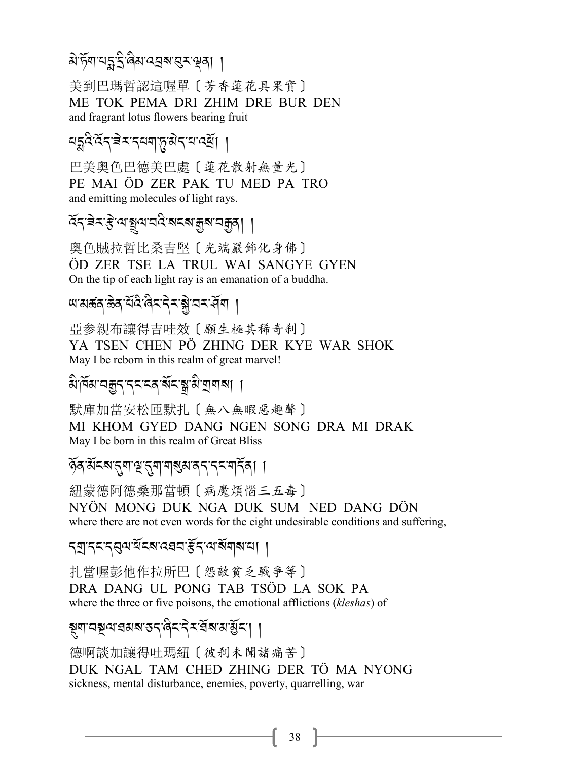# $\alpha$ 'ৰ্ট্ম'ন্দ্ৰ' ব্ৰিম'ন্দ্ৰৰ' ব্ৰুষ্ণ ব্ৰি

美到巴瑪哲認這喔單〔芳香蓮花具果實〕 ME TOK PEMA DRI ZHIM DRE BUR DEN and fragrant lotus flowers bearing fruit

#### যহ্নুব্ৰম্বৰ কৰা প্ৰিয়ন কৰে <u>বি</u> J

巴美奥色巴德美巴處〔蓮花散射無量光〕 PE MAI ÖD ZER PAK TU MED PA TRO and emitting molecules of light rays.

্প্ৰস্ক্ৰিক্ষা আৰু বিভিন্ন প্ৰাপ্ত পৰি প্ৰকল্প <mark>/</mark><br>প্ৰস্কাৰ বিভিন্ন প্ৰাপ্ত প্ৰকল্প প্ৰকল্প বিভিন্ন প্ৰকল্প বিভিন্ন প্ৰকল্প বিভিন্ন প্ৰকল্প বিভিন্ন প্ৰকল্প বিভিন্ J

奥色賊拉哲比桑吉堅〔光端嚴飾化身佛〕 ÖD ZER TSE LA TRUL WAI SANGYE GYEN On the tip of each light ray is an emanation of a buddha.

#### খ'মৰ্ক্ক'ৰ্উন'ৰ্ম'ব<sup>্ৰ</sup>মু'নৰ প্ৰশ A Contractor

亞参親布讓得吉哇效〔願生極其稀奇刹〕 YA TSEN CHEN PÖ ZHING DER KYE WAR SHOK May I be reborn in this realm of great marvel!

# *3* A*-#*R*3-2o.-.% -%/-?*R*%-*1*-3* A*-P\$ ?*,,

默庫加當安松匝默扎〔無八無暇惡趣聲〕 MI KHOM GYED DANG NGEN SONG DRA MI DRAK May I be born in this realm of Great Bliss

### $\widetilde{\delta}$ ৰ্ক'ৰ্মৰ মুন্দু মুন্দু মুন্দু মুন্দু মুন্দু মুন্দু মুন্দু মুন্দু মুন্দু মুন্দু মুন্দু মুন্দু মুন্দু মু

紐蒙德阿德桑那當頓〔病魔煩惱三五毒〕 NYÖN MONG DUK NGA DUK SUM NED DANG DÖN where there are not even words for the eight undesirable conditions and suffering,

### *.P-.% -.*2*=-1*R*%?-:,2 -l*R*.-=-?*R*\$?-0*,,

扎當喔彭他作拉所巴〔怨敵貧乏戰爭等〕 DRA DANG UL PONG TAB TSÖD LA SOK PA where the three or five poisons, the emotional afflictions (*kleshas*) of

# ষ্ণুনা ব্ৰস্তু ব্ৰস্তা প্ৰকাৰ প্ৰকাৰ প্ৰকাৰ প্ৰকাৰ পৰি স্থিতি পৰি স্থিতি পৰি স্থিতি পৰি স্থিতি পৰি স্থিতি পৰি স<br>ইণা বিষয়ো

德啊談加讓得吐瑪紐〔彼刹未聞諸痛苦〕 DUK NGAL TAM CHED ZHING DER TÖ MA NYONG sickness, mental disturbance, enemies, poverty, quarrelling, war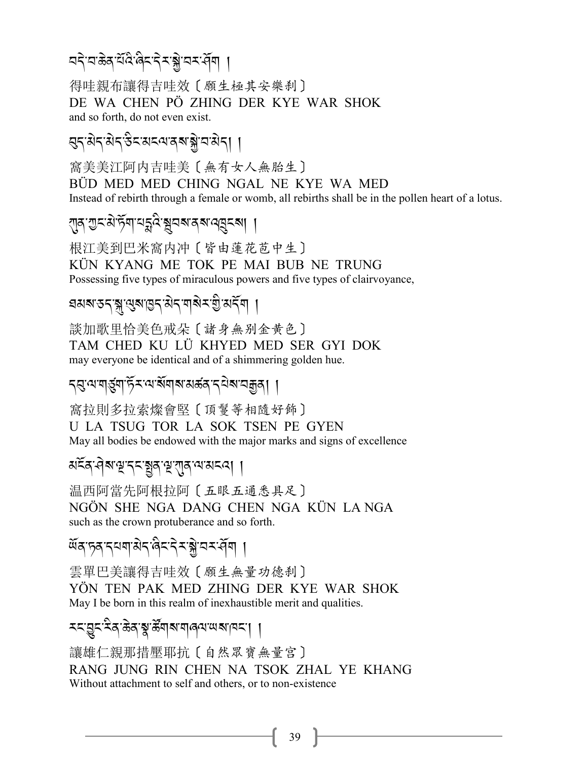#### বৰ্ণবাস্তুৰ বিদেশৰ বিদা J

得哇親布讓得吉哇效〔願生極其安樂刹〕 DE WA CHEN PÖ ZHING DER KYE WAR SHOK and so forth, do not even exist.

# 2*.-3* J*.- 3* J*.-&* A*%-3% =-/ ?-*\* J*-2-3* J*.*,,

窩美美江阿内吉哇美〔無有女人無胎生〕 BÜD MED MED CHING NGAL NE KYE WA MED Instead of rebirth through a female or womb, all rebirths shall be in the pollen heart of a lotus.

!*/-G% -3* J*-+*R*\$-0*E*:* A*-*&*2?-/?-:*O*%?*,,

根江美到巴米窩内冲〔皆由蓮花苞中生〕 KÜN KYANG ME TOK PE MAI BUB NE TRUNG Possessing five types of miraculous powers and five types of clairvoyance,

# ব্ৰমৰ্শন্তন্ব<sub>্ৰী</sub>, নিৱাৰ্ত্তন্বৰ্দ্ধ প্ৰকল্প বি

談加歌里恰美色戒朵〔諸身無别金黄色〕 TAM CHED KU LÜ KHYED MED SER GYI DOK may everyone be identical and of a shimmering golden hue.

# ব্ৰ:ন্মশৰ্ম্ভুন্ম ৰ্টমান্ম ৰ্ষমাৰ্জ্য প্ৰৱাৰ প্ৰায়মুক্ত ।

窩拉則多拉索燦會堅〔頂鬘等相隨好飾〕 U LA TSUG TOR LA SOK TSEN PE GYEN May all bodies be endowed with the major marks and signs of excellence

# *3%*R*/->* J*?-s-.% -*,*/-s-*!*/-=-3%:*,,

温西阿當先阿根拉阿〔五眼五通悉具足〕 NGÖN SHE NGA DANG CHEN NGA KÜN LA NGA such as the crown protuberance and so forth.

<u> সূপ-পৰাজ্যৰ প্ৰবৰ্তন স্থা</u>ন .<br>.<br>.

雲單巴美讓得吉哇效〔願生無量功德刹〕 YÖN TEN PAK MED ZHING DER KYE WAR SHOK May I be born in this realm of inexhaustible merit and qualities.

# *<% -*L*%-<* A*/-(* J*/-*\$*-5*S *\$?- \$8=-; ?-#% -*,,

讓雄仁親那措壓耶抗〔自然眾寶無量宮〕 RANG JUNG RIN CHEN NA TSOK ZHAL YE KHANG Without attachment to self and others, or to non-existence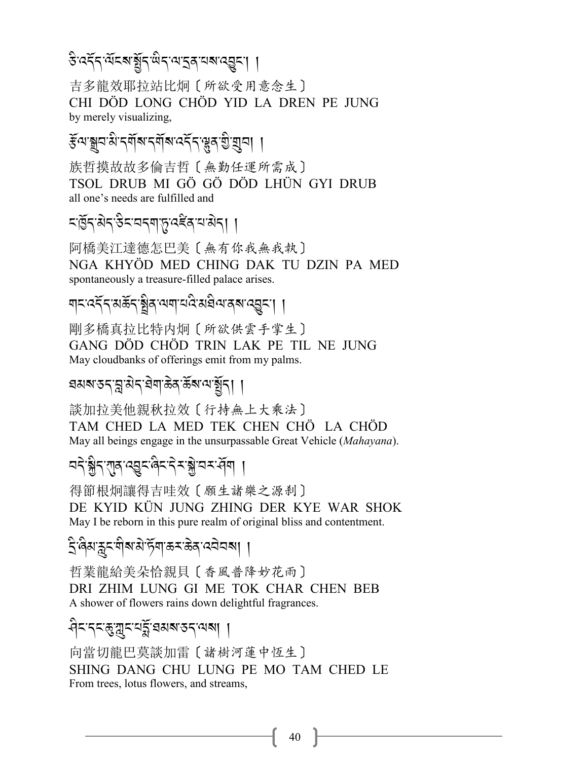吉多龍效耶拉站比炯〔所欲受用意念生〕 CHI DÖD LONG CHÖD YID LA DREN PE JUNG by merely visualizing.

# *ङ्*लाञ्चय से दर्शन संबंध वर्दे दुः सुन शुद्धाना ।

族哲摸故故多倫吉哲〔無勤任運所需成〕 TSOL DRUB MI GÖ GÖ DÖD LHÜN GYI DRUB all one's needs are fulfilled and

# *द*्रियेदउदयद्वाप्तृत्द्द्विद्यश्चेद्। ।

阿橋美江達德怎巴美〔無有你我無我執〕 NGA KHYÖD MED CHING DAK TU DZIN PA MED spontaneously a treasure-filled palace arises.

য়য়ড়য়য়ড়ৼঢ়য়ড়৻৸য়ঢ়৸ড়৸ড়৸

剛多橋真拉比特内炯〔所欲供雲手掌生〕 GANG DÖD CHÖD TRIN LAK PE TIL NE JUNG May cloudbanks of offerings emit from my palms.

### ঘমৰ ডন্'ন্ল'মন্'ষ্টৰ্'ক্কৰ'ৰ্ম'শেৰ্শ্লন্। ।

談加拉美他親秋拉效〔行持無上大乘法〕 TAM CHED LA MED TEK CHEN CHÖ LA CHÖD May all beings engage in the unsurpassable Great Vehicle (Mahayana).

### ঘণ্টুন্'্যাৰ্'ব্ছুন'ৰ্বিন'ৰ্ব্ৰ'য়ে'ঘন'ৰ্ব্ৰ ।

得節根炯讓得吉哇效〔願生諸樂之源刹〕 DE KYID KÜN JUNG ZHING DER KYE WAR SHOK May I be reborn in this pure realm of original bliss and contentment.

### द्विवाक्नदाबीबासे स्वाऊदाऊवादवेवबा ।

哲業龍給美朵恰親貝〔香風普降妙花雨〕 DRI ZHIM LUNG GI ME TOK CHAR CHEN BEB A shower of flowers rains down delightful fragrances.

# ধিমদমন্ত্রুস্নমের্ক্ল'রমৰাজ্যমা ।

向當切龍巴莫談加雷〔諸樹河蓮中恆生〕 SHING DANG CHU LUNG PE MO TAM CHED LE From trees, lotus flowers, and streams,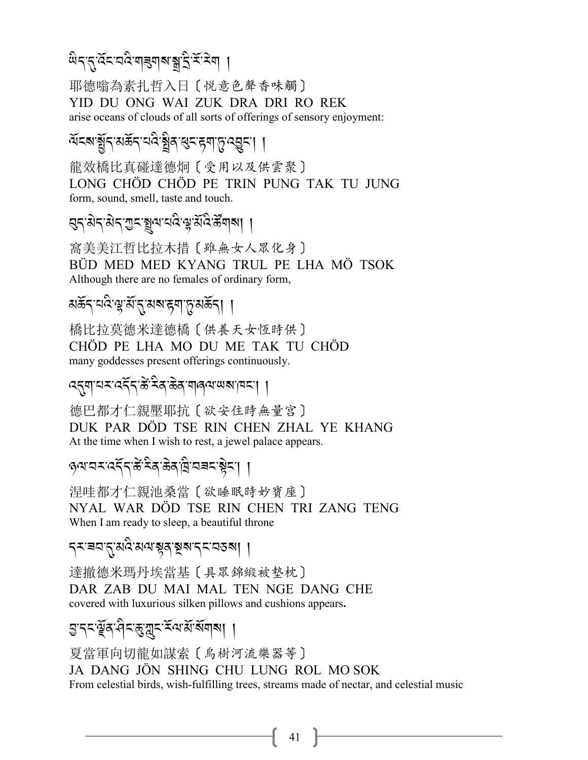#### *;* A*.-*.*-:*R*%-2:* A*-\$*9*\$?-*1*- S -<*R*-<* J*\$*, A

耶德嗡為素扎哲入日〔悦意色聲香味觸〕 YID DU ONG WAI ZUK DRA DRI RO REK arise oceans of clouds of all sorts of offerings of sensory enjoyment:

# ৰ্শিক <u>ই</u>নিপ্ৰ প্ৰয়ন্ত্ৰীৰ বিশ্ৰম্প (R.-15 |

龍效橋比真碰達德炯〔受用以及供雲聚〕 LONG CHÖD CHÖD PE TRIN PUNG TAK TU JUNG form, sound, smell, taste and touch.

# *প্ৰ*-ব্ৰাৱ্য - ব্ৰিব্ৰাৱ্য <u>(</u> প্ৰত্য <u>ব</u>ুদ্ধ প্ৰব্ৰাৱ্য ।

窩美美江哲比拉木措〔雖無女人眾化身〕 BÜD MED MED KYANG TRUL PE LHA MÖ TSOK Although there are no females of ordinary form,

# মৰ্ক্ৰন্<sup>-হানু</sup>ৰ্মুৰ্ম্মন্নুৰ্মন্দ্ৰম্মৰ্ক্ষন্ৰ ।

橋比拉莫德米達德橋〔供養天女恆時供〕 CHÖD PE LHA MO DU ME TAK TU CHÖD many goddesses present offerings continuously.

# *:*.*\$-0<- :.*R*.-5*K *-<* A*/-(* J*/ -\$8=-;?- #% -*,,

德巴都才仁親壓耶抗〔欲安住時無量宫〕 DUK PAR DÖD TSE RIN CHEN ZHAL YE KHANG At the time when I wish to rest, a jewel palace appears.

৫<sub>প</sub>াব্ৰাৰ্ট্ৰ্ৰ্ট্ৰ্ৰ্ট কৰি বিভিন্ন কৰি স্পৰ্টি ।

涅哇都才仁親池桑當〔欲睡眠時妙寶座〕 NYAL WAR DÖD TSE RIN CHEN TRI ZANG TENG When I am ready to sleep, a beautiful throne

#### ব্যৱন্থ্যপূ*প্ৰৱাইৰ* ব্ৰৱ্থ <mark>|</mark> A

達撤德米瑪丹埃當基〔具眾錦緞被整枕〕 DAR ZAB DU MAI MAL TEN NGE DANG CHE covered with luxurious silken pillows and cushions appears**.** 

# *L-.% -u*R*/->* A*%-*(*-*[*%-<*R*=- 3*R*-?*R*\$?*,,

夏當軍向切龍如謀索〔鳥樹河流樂器等〕 JA DANG JÖN SHING CHU LUNG ROL MO SOK From celestial birds, wish-fulfilling trees, streams made of nectar, and celestial music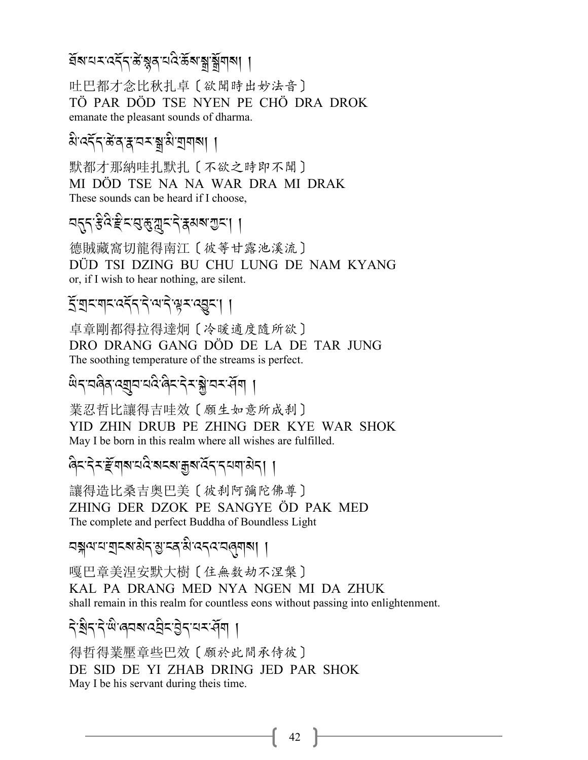#### প্ৰৰূপ <u>প্ৰাৰ্থিক স্থিতীয় স্থিতীয় স্থিতীয় স্থিতীয় স্থিতীয়।<br>প্ৰাৰম্ভিক স্থিতি স্থিতি স্থিতি স্থিতি স্থিতি স্থিতি স্থিতি স্থিতি স্থিতি স্থিতি স্থিতি স্থিতি স্থিতি স্থিতি স<br>প্ৰাৰম্ভিক স্থিতি স্থিতি স্থিতি স্থিতি স্থিতি</u>  $\ddot{\phantom{0}}$

吐巴都才念比秋扎卓〔欲聞時出妙法音〕 TÖ PAR DÖD TSE NYEN PE CHÖ DRA DROK emanate the pleasant sounds of dharma.

# *প্ৰব্যৰ* প্ৰৱাৰ প্ৰাপ্ত পৰি স্থা

默都才那納哇扎默扎〔不欲之時即不聞〕 MI DÖD TSE NA NA WAR DRA MI DRAK These sounds can be heard if I choose,

#### ন*প্ৰ*্ৰফ্লিক্ৰিপ্ৰিয়েন্দ্ৰ বিশ্বৰ প্ৰদ্ৰা A<br>A

德賊藏窩切龍得南江〔彼等甘露池溪流〕 DÜD TSI DZING BU CHU LUNG DE NAM KYANG or, if I wish to hear nothing, are silent.

# *S*-এন্মৰ্ল্ড্ৰ্ৰ্স্ট - প্ৰাৰ্থ্য - প্ৰেৰ্ট্ট বি

卓章剛都得拉得達炯〔冷暖適度隨所欲〕 DRO DRANG GANG DÖD DE LA DE TAR JUNG The soothing temperature of the streams is perfect.

# a<u>Lage ala atar dina akan di</u>na di l

業忍哲比讓得吉哇效〔願生如意所成刹〕 YID ZHIN DRUB PE ZHING DER KYE WAR SHOK May I be born in this realm where all wishes are fulfilled.

#### ৰিন্দ্ৰীৰ্শন বিৰোহৰ প্ৰিয় বিদ্যালয় । A<br>A<br>A .<br>.<br>.

讓得造比桑吉奥巴美〔彼刹阿彌陀佛尊〕 ZHING DER DZOK PE SANGYE ÖD PAK MED The complete and perfect Buddha of Boundless Light

# বন্ধ্বারা বাইব্রাপ্ত ব্রান্ত ব্রান্ত <mark>স্পা</mark>ন্ত ।

嘎巴章美涅安默大樹〔住無数劫不涅槃〕 KAL PA DRANG MED NYA NGEN MI DA ZHUK shall remain in this realm for countless eons without passing into enlightenment.

# ने*.ब्र*्टरेलु, अन्यर्भक्षा ।

得哲得業壓章些巴效〔願於此間承侍彼〕 DE SID DE YI ZHAB DRING JED PAR SHOK May I be his servant during theis time.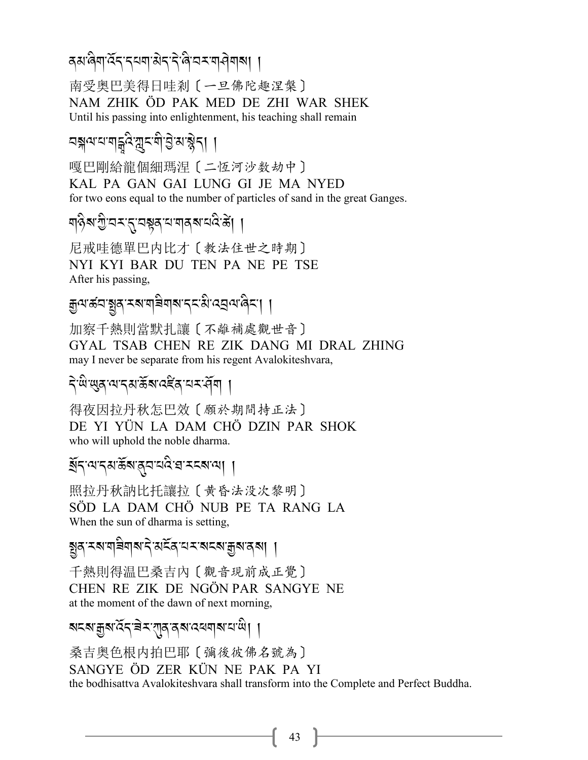## दबालेगाउँदादययाओदादेखित्यसयानेया**ला** ।

南受奥巴美得日哇剎〔一旦佛陀趣涅槃〕 NAM ZHIK ÖD PAK MED DE ZHI WAR SHEK Until his passing into enlightenment, his teaching shall remain

嘎巴剛給龍個細瑪涅〔二恆河沙数劫中〕 KAL PA GAN GAI LUNG GI JE MA NYED for two eons equal to the number of particles of sand in the great Ganges.

# শ6়ৰ শুভিমন্ত্ৰ বিষ্ণুৰ বিষ্ণু বিষ্ণু ।

尼戒哇德單巴内比才〔教法住世之時期〕 NYI KYI BAR DU TEN PA NE PE TSE After his passing,

# कुषारुंवाञ्चुवारबाषविषाबादराशेखवयालेया ।

加察千熱則當默扎讓〔不離補處觀世音〕 GYAL TSAB CHEN RE ZIK DANG MI DRAL ZHING may I never be separate from his regent Avalokiteshvara.

### देखेखुदायादशर्के राददेवायर पेंगा ।

得夜因拉丹秋怎巴效〔願於期間持正法〕 DE YI YÜN LA DAM CHÖ DZIN PAR SHOK who will uphold the noble dharma.

#### য়ুঁখনৰ সূপ্ৰ প্ৰতিষ্কাৰ পৰা ।

照拉丹秋訥比托讓拉〔黄昏法没次黎明〕 SÖD LA DAM CHÖ NUB PE TA RANG LA When the sun of dharma is setting,

## ষ্ট্ৰব্ৰম্বাৰ্মৰাৰাণ বিৰুষ্মে বিৰোধ্য আৰু মাৰ্ব্

千熱則得温巴桑吉內〔觀音現前成正覺〕 CHEN RE ZIK DE NGÖN PAR SANGYE NE at the moment of the dawn of next morning,

### ষ<ম'ক্কুম'ৰ্ব্ব'ৰ ম'বাৰ বেশবাৰ বিদ্যোগী

桑吉奥色根内拍巴耶〔彌後彼佛名號為〕 SANGYE ÖD ZER KÜN NE PAK PA YI the bodhisattva Avalokiteshvara shall transform into the Complete and Perfect Buddha.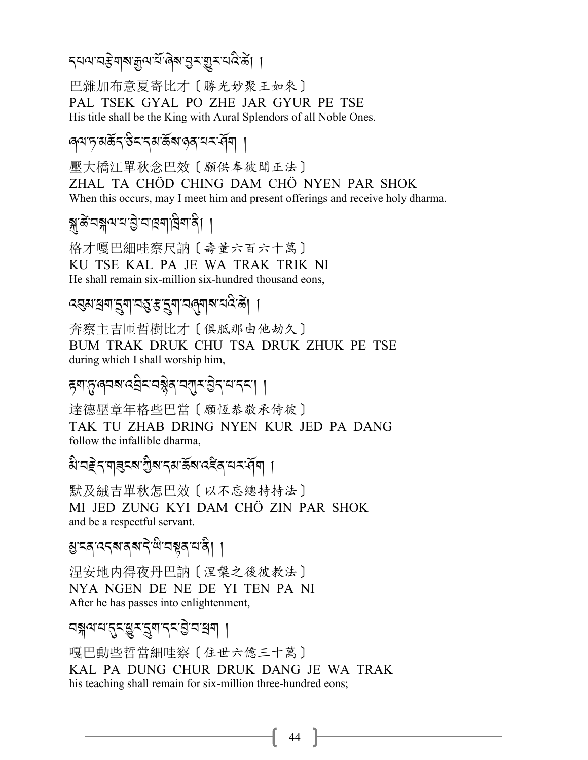*ॸॺॺ*ॱय़ॾॆॺऻॺॱक़ॗॺॱय़ऀॱढ़॓ॺॱय़ॖॸॱय़ॗॸॱय़॔ढ़ऀॱॾ॓ॎ

巴雜加布意夏寄比才〔勝光妙聚王如來〕 PAL TSEK GYAL PO ZHE JAR GYUR PE TSE His title shall be the King with Aural Splendors of all Noble Ones.

<sub>'</sub> बयानुसर्केदाउैदादसार्केबालुवायदार्वेषा ।

壓大橋江單秋念巴效〔願供奉彼聞正法〕 ZHAL TA CHÖD CHING DAM CHÖ NYEN PAR SHOK When this occurs, may I meet him and present offerings and receive holy dharma.

格才嘎巴細哇察尺訥〔壽量六百六十萬〕 KU TSE KAL PA JE WA TRAK TRIK NI He shall remain six-million six-hundred thousand eons,

*द्*वशद्भवाद्भवाज्ञ्ञः सुद्भवाजलयाद्या ।

奔察主吉匝哲樹比才〔俱胝那由他劫久〕 BUM TRAK DRUK CHU TSA DRUK ZHUK PE TSE during which I shall worship him,

ह्याप्तुलयबादवेदावञ्जेबावसुराष्ठेनायान्दा ।

達德壓章年格些巴當〔願恆恭敬承侍彼〕 TAK TU ZHAB DRING NYEN KUR JED PA DANG follow the infallible dharma.

बैददेर गड़दब गुबार बार्केबाद देवायर सेंगा।

默及絨吉單秋怎巴效〔以不忘總持持法〕 MI JED ZUNG KYI DAM CHÖ ZIN PAR SHOK and be a respectful servant.

য়ৢৼঽ<sup>৻</sup>ঽঀয়ৼয়৸ৼ৾ড়৻য়৾য়ৼ৸ঀৢ৾৾

涅安地内得夜丹巴訥〔涅槃之後彼教法〕 NYA NGEN DE NE DE YI TEN PA NI After he has passes into enlightenment,

নন্নথমর্দ্রুমন্ন্যান্দট্রান্নধ্রা ।

嘎巴動些哲當細哇察〔住世六億三十萬〕 KAL PA DUNG CHUR DRUK DANG JE WA TRAK his teaching shall remain for six-million three-hundred eons;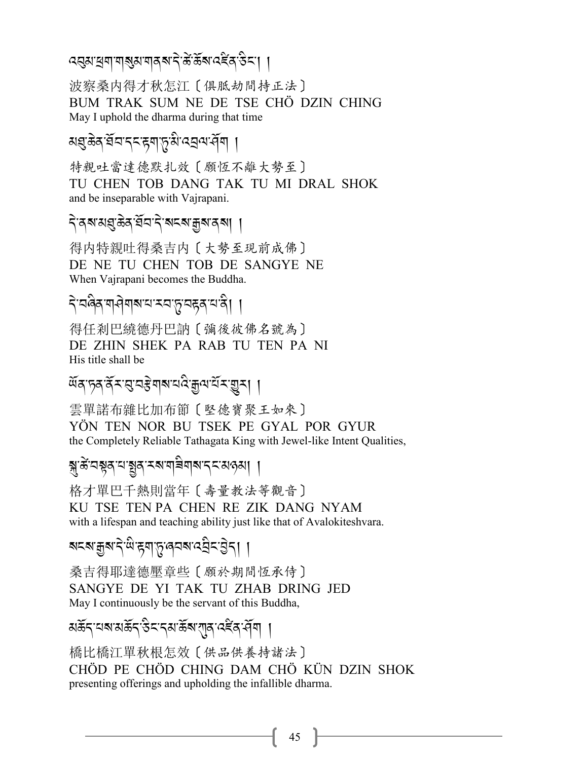## द्युसायना नायुसाना व बादे से संबन्धा दहित उद्या

波察桑内得才秋怎江〔俱胝劫間持正法〕 BUM TRAK SUM NE DE TSE CHÖ DZIN CHING May I uphold the dharma during that time

# য়<mark>ঀৢ</mark>ড়ৢ৾ঽ<u>৻</u>য়ৄৼঢ়ৼৼৼয়৾ৼঢ়ড়ৢ৻৻ৼ৻ড়৻৸ড়৻

特親吐當達德默扎效〔願恆不離大勢至〕 TU CHEN TOB DANG TAK TU MI DRAL SHOK and be inseparable with Vajrapani.

# বিৰম মন্ত্ৰ স্থান কৰা আৰু স্থাপনী

得内特親吐得桑吉内〔大勢至現前成佛〕 DE NE TU CHEN TOB DE SANGYE NE When Vajrapani becomes the Buddha.

# देखबैब गयेगबाय स्वप्नुबहवायंवे। ।

得任剎巴繞德丹巴訥〔彌後彼佛名號為〕 DE ZHIN SHEK PA RAB TU TEN PA NI His title shall be

### ঐব চৰ বিমন্ত নস্কৰাৰ নাই আৰু নামৰ বিদ্যা

雲單諾布雜比加布節〔堅德寶聚王如來〕 YÖN TEN NOR BU TSEK PE GYAL POR GYUR the Completely Reliable Tathagata King with Jewel-like Intent Qualities,

### য়ৢ৾ৼয়য়ড়ৼঢ়য়ড়ৼৼ৻৸ৼ৸ৼ৸ৼ৸ৼ

格才單巴千熱則當年〔壽量教法等觀音〕 KU TSE TEN PA CHEN RE ZIK DANG NYAM with a lifespan and teaching ability just like that of Avalokiteshvara.

## য়ৼ৶য়৽৸ৼ৻ড়৳৸৸ৼঢ়ঢ়ঢ়ঢ়ঢ়ঢ়ঢ়ঢ়ঢ়ঢ়ঢ়৸

桑吉得耶達德壓章些〔願於期間恆承侍〕 SANGYE DE YI TAK TU ZHAB DRING JED May I continuously be the servant of this Buddha,

# য়ড়ৄ৾৴<sub>৸</sub>য়য়ড়ৼ৻ড়ৼ৻৸ৼৢৼ৸ড়৸৸

橋比橋江單秋根怎效〔供品供養持諸法〕 CHÖD PE CHÖD CHING DAM CHÖ KÜN DZIN SHOK presenting offerings and upholding the infallible dharma.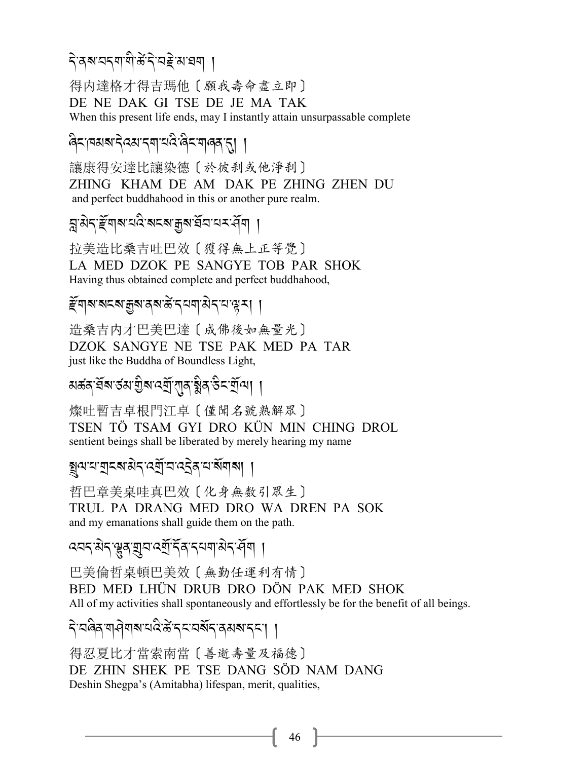# বিৰুদ্দৰ কৰি বিভিন্ন সম্ভৱ কৰি স্থা

得内達格才得吉瑪他〔願我壽命盡立即〕 DE NE DAK GI TSE DE JE MA TAK When this present life ends, may I instantly attain unsurpassable complete

# <sup>6</sup> বিদ্যালয় স্বার্থ বিদ্যালয় বি

讓康得安達比讓染德〔於彼刹或他淨刹〕 ZHING KHAM DE AM DAK PE ZHING ZHEN DU and perfect buddhahood in this or another pure realm.

# ন্ন.<u>পূৰ্বৰে স্বাৰ্থ স্থাৰ স্পূৰ্বৰ স্</u>প্ৰদাসী

拉美造比桑吉吐巴效〔獲得無上正等覺〕 LA MED DZOK PE SANGYE TOB PAR SHOK Having thus obtained complete and perfect buddhahood,

# *স্ট্*মৰাজ্যৰ স্কাৰ্জ ব্ৰানী সম্পৰ্ক।

造桑吉内才巴美巴達〔成佛後如無量光〕 DZOK SANGYE NE TSE PAK MED PA TAR just like the Buddha of Boundless Light,

# মঙ্গৰ্স্*প্ৰমান্ত্ৰ্য বেন্*ন্য প্ৰাৰ্থ্য প্ৰদানী ।

燦吐暫吉卓根門江卓〔僅聞名號熟解眾〕 TSEN TÖ TSAM GYI DRO KÜN MIN CHING DROL sentient beings shall be liberated by merely hearing my name

#### ষ্ট্ৰন্স*নাৱাই বিষ্টাৰ পৰি প্ৰাপ্ত স্থা* .<br>.<br>.

哲巴章美桌哇真巴效〔化身無数引眾生〕 TRUL PA DRANG MED DRO WA DREN PA SOK and my emanations shall guide them on the path.

# *-*<br>প্ৰদ্ৰাৱীৰ প্লেৰ বিদ্যালয়ৰ প্ৰদান সম্পৰ্কী

巴美倫哲桌頓巴美效〔無勤任運利有情〕 BED MED LHÜN DRUB DRO DÖN PAK MED SHOK All of my activities shall spontaneously and effortlessly be for the benefit of all beings.

# दे<sup>-</sup>वर्खेद बोबाबाया परिकेन्द्र बन्ने देश - अर्.-/ ।

得忍夏比才當索南當〔善逝壽量及福德〕 DE ZHIN SHEK PE TSE DANG SÖD NAM DANG Deshin Shegpa's (Amitabha) lifespan, merit, qualities,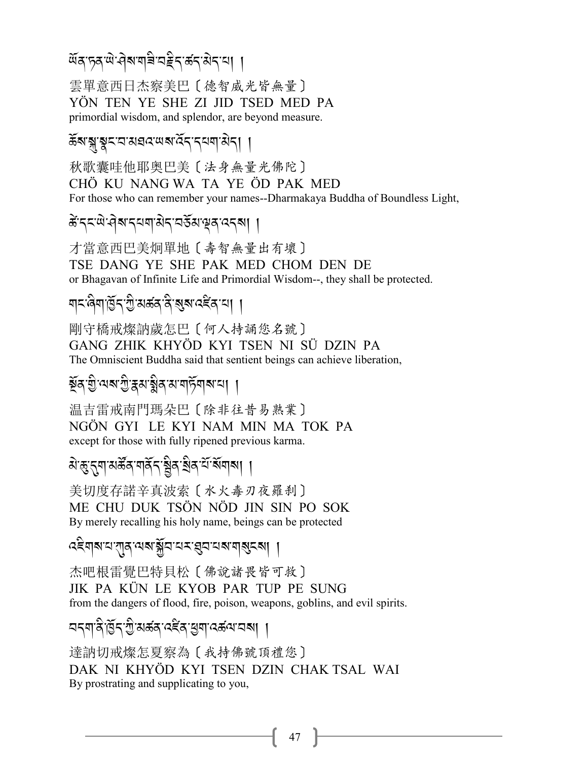## 

雲單意西日杰察美巴〔德智威光皆無量〕 YÖN TEN YE SHE ZI JID TSED MED PA primordial wisdom, and splendor, are beyond measure.

### ऊँबाङ्गङ्करयासवरणबादेरारयणासेरा ।

秋歌囊哇他耶奥巴美〔法身無量光佛陀〕 CHỐ KU NANG WA TA YE ÔD PAK MED For those who can remember your names--Dharmakaya Buddha of Boundless Light,

# केंद्रः से वेब दयवासेद वर्डेंस सूव ददबा ।

才當意西巴美炯單地〔壽智無量出有壞〕 TSE DANG YE SHE PAK MED CHOM DEN DE or Bhagavan of Infinite Life and Primordial Wisdom--, they shall be protected.

# য়ঢ়ড়য়য়ড়৻য়ৢয়ড়ড়ৼ৻ড়৸ৼ৻ড়৸ঢ়ঢ়

剛守橋戒燦訥歲怎巴〔何人持誦您名號〕 GANG ZHIK KHYÖD KYI TSEN NI SÜ DZIN PA The Omniscient Buddha said that sentient beings can achieve liberation,

## ষ্টুৰ'য়ু'ন্মৰ'গ্ৰু'হ্নম'ষ্ণ্ণৰ ম'নাৰ্ট্সৰ্ম'ন। ।

温吉雷戒南門瑪朵巴〔除非往昔易熟業〕 NGÔN GYI LE KYI NAM MIN MA TOK PA except for those with fully ripened previous karma.

### <u> ঝত্কুন্</u>নশমৰ্ক্টৰ'মৰ্বিন্ত্ৰিৰ'ৰ্শ্ৰিমীৰ শিৱা

美切度存諾辛真波索〔水火毒刃夜羅刹〕 ME CHU DUK TSÖN NÖD JIN SIN PO SOK By merely recalling his holy name, beings can be protected

### বইমাৰ য'বাৰ লক্ষ্মীত বৰ প্ৰত্ৰ বৰ মাৰ্থিবৰ। ।

杰吧根雷覺巴特貝松〔佛說諸畏皆可救〕 JIK PA KÜN LE KYOB PAR TUP PE SUNG from the dangers of flood, fire, poison, weapons, goblins, and evil spirits.

# <u> নব্</u>মান্ত্ৰীষ্ট্ৰব্দট্ট অৰ্ক্তন্ত্ৰইৰ্'শ্ৰুম্'ৰ্ক্তন্ম'ৰ্মা ।

達訥切戒燦怎夏察為〔我持佛號頂禮您〕 DAK NI KHYÖD KYI TSEN DZIN CHAK TSAL WAI By prostrating and supplicating to you,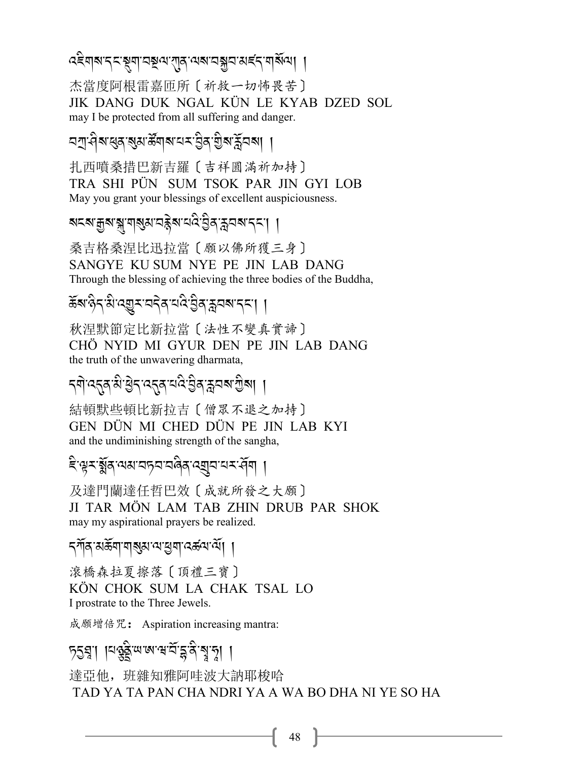# *द*द्देवाब दयञ्जूबा वञ्चल राव लक्ष्य अस्ति बाल्ला ।

杰當度阿根雷嘉匝所〔祈救一切怖畏苦〕 JIK DANG DUK NGAL KÜN LE KYAB DZED SOL may I be protected from all suffering and danger.

<u> নশ্ৰ'ণীৰাধ্ৰুৰ প্ৰমাৰ্ক্তিবাৰ বিশ্ববিদ্যালয়ৰ প্ৰমাণ ।</u>

扎西噴桑措巴新吉羅〔吉祥圓滿祈加持〕 TRA SHI PÜN SUM TSOK PAR JIN GYI LOB May you grant your blessings of excellent auspiciousness.

# য়ৼ৶য়৾৶ৠ<sub>৽</sub>য়৾৶ৼড়ৼ৻ৼ৻ড়৻ৼ৻৸৸

桑吉格桑涅比迅拉當〔願以佛所獲三身〕 SANGYE KU SUM NYE PE JIN LAB DANG Through the blessing of achieving the three bodies of the Buddha,

# ॾॕॺॱढ़ेऽॱ<sup>ॶॱ</sup>ঽॻ॒ॸॱय़ड़ॆॺॱय़ऀॱॶऀॺॱॸॣय़ॺॱड़ॸॱॎॖ

秋涅默節定比新拉當〔法性不變真實諦〕 CHÖ NYID MI GYUR DEN PE JIN LAB DANG the truth of the unwavering dharmata.

## ॸॺॊॱঽॸॣॺॱऄॱऄॖॸॱঽॸॣॺॱय़॑ऄॱऄॖॺॱॸॣॖय़ॺॱॻॖऀॺऻ॒ऻ

結頓默些頓比新拉吉 [ 僧眾不退之加持] GEN DÜN MI CHED DÜN PE JIN LAB KYI and the undiminishing strength of the sangha,

## दिःभूरःञ्जूबायसायान्नयावेबाद्युवायरार्मेवा ।

及達門蘭達任哲巴效〔成就所發之大願〕 JI TAR MÖN LAM TAB ZHIN DRUB PAR SHOK may my aspirational prayers be realized.

#### *ॸ্*শॅव अर्क्ष्या याञ्जुब अञ्चल स्वरूप या ।

滾橋森拉夏擦落〔頂禮三寶〕 KÖN CHOK SUM LA CHAK TSAL LO I prostrate to the Three Jewels.

成願增倍咒: Aspiration increasing mantra:

# <u> চূহয়ু। ।বৰ্ত্তইজজনে ব্ৰাহ্মই ইতি</u>

達亞他, 班雜知雅阿哇波大訥耶梭哈 TAD YA TA PAN CHA NDRI YA A WA BO DHA NI YE SO HA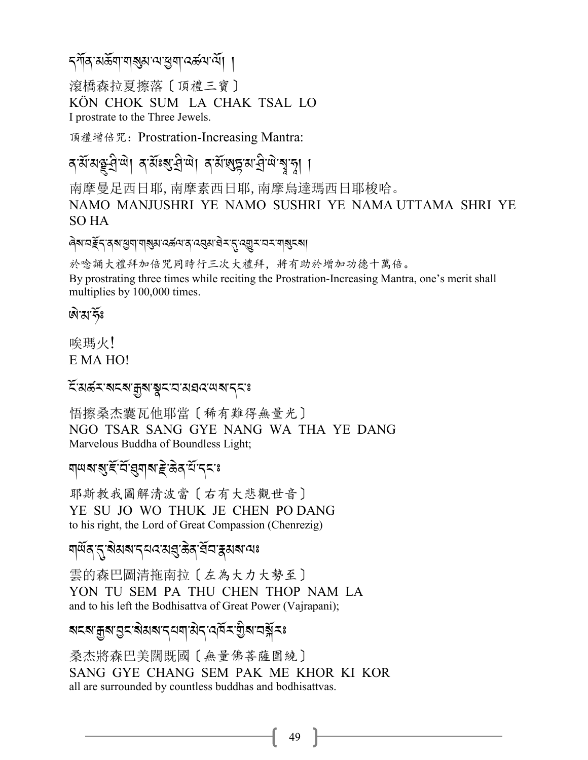### *ॸ্*শॅव अर्केषा षाञ्जुबा अञ्चला दर्कवा लें। ।

滾橋森拉夏擦落〔頂禮三寶〕 KÖN CHOK SUM LA CHAK TSAL LO I prostrate to the Three Jewels.

頂禮增倍咒: Prostration-Increasing Mantra:

বর্মমন্তু ব্রিলা বর্মান্ত ব্রিলা বর্মান্ত মার্বিলা বুদ্রা ।

南摩曼足西日耶,南摩素西日耶,南摩烏達瑪西日耶梭哈。 NAMO MANJUSHRI YE NAMO SUSHRI YE NAMA UTTAMA SHRI YE SO HA

ৰিম'নৰ্≩ন'ৰ মাধ্ৰুম'ন্মৰুম'নৰ মাৰ'ন ব্ৰম'ৰ মান্ত্ৰমানমাৰ্মৰ মা

於唸誦大禮拜加倍咒同時行三次大禮拜,將有助於增加功德十萬倍。 By prostrating three times while reciting the Prostration-Increasing Mantra, one's merit shall multiplies by 100,000 times.

জন্মৰ্দ্ধঃ

唉瑪火! E MA HO!

#### <del>ৼ</del>য়য়ড়ৼয়ৼয়ৼড়৸ৼঀৼঀৼ৸ৼৼৼ৻

悟擦桑杰囊瓦他耶當〔稀有難得無量光〕 NGO TSAR SANG GYE NANG WA THA YE DANG Marvelous Buddha of Boundless Light;

### **बा**सबाबा है के बार्य द्वार

耶斯教我圖解清波當 [右有大悲觀世音] YE SU JO WO THUK JE CHEN PO DANG to his right, the Lord of Great Compassion (Chenrezig)

#### য়ড়ঀৼ৴ৼ৻ৼৢ৸ৼ৸ৼ৸ৼ৻ৼঀ৻৸৸৸৽৸

雲的森巴圖清拖南拉〔左為大力大勢至〕 YON TU SEM PA THU CHEN THOP NAM LA and to his left the Bodhisattva of Great Power (Vajrapani);

### য়ৼ৶য়৾৶য়৸ৼ৸ৼ৸৸৸৸ৼ৸৸৸৸৸৸

桑杰將森巴美闊既國〔無量佛菩薩圍繞〕 SANG GYE CHANG SEM PAK ME KHOR KI KOR all are surrounded by countless buddhas and bodhisattvas.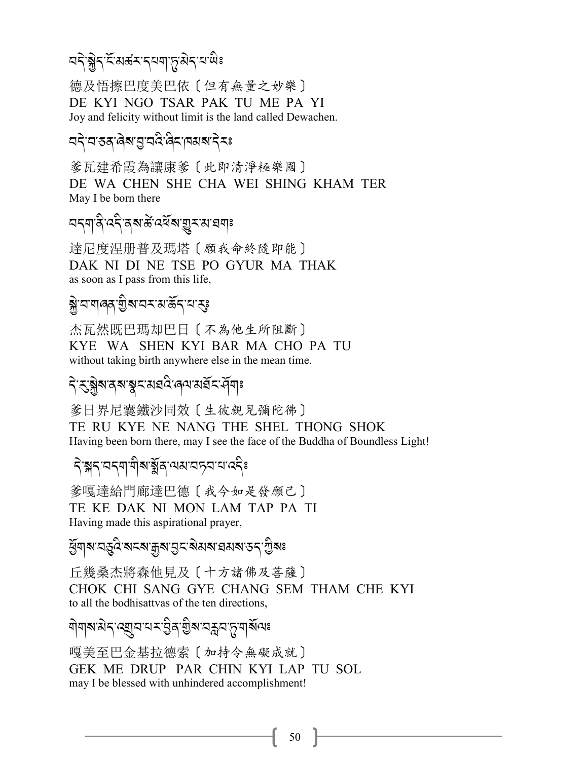#### নব্*ষ্ট্ৰব্* ইন্সৰ্জ-প্ৰাপ্ত ৰাব্য আৰু J

德及悟擦巴度美巴依〔但有無量之妙樂〕 DE KYI NGO TSAR PAK TU ME PA YI Joy and felicity without limit is the land called Dewachen.

#### ব<ৰিপ্ৰাণ্ড বৰ্ষি কৰি বিৰুদ্ধ কৰি বিৰুদ্ধ কৰি বিৰুদ্ধ কৰি বিৰুদ্ধ কৰি বিৰুদ্ধ কৰি বিৰুদ্ধ কৰি বিৰুদ্ধ কৰি বিৰু<br>বিৰুদ্ধ কৰি বিৰুদ্ধ কৰি বিৰুদ্ধে কৰি বিৰুদ্ধে কৰি বিৰুদ্ধে কৰি বিৰুদ্ধে কৰি বিৰুদ্ধে কৰি বিৰুদ্ধে কৰি বিৰুদ্ধে .<br>.<br>. J

爹瓦建希霞為讓康爹〔此即清淨極樂國〕 DE WA CHEN SHE CHA WEI SHING KHAM TER May I be born there

# মন্মান্ত্ৰীৰ্ষ্ট ব্ৰম্<sup>নু</sup> (স্মান্মীয়া)

達尼度涅册普及瑪塔〔願我命終隨即能〕 DAK NI DI NE TSE PO GYUR MA THAK as soon as I pass from this life,

# ষ্ট্ৰ'ন'<mark>নাৰৰ শ্ৰীৰ</mark>্ম'ন কৰা ক্লিব'ন'ক্স

杰瓦然既巴瑪却巴日〔不為他生所阻斷〕 KYE WA SHEN KYI BAR MA CHO PA TU without taking birth anywhere else in the mean time.

# **A**-2 अर्थ-अध्युद्रन्त्र्य अर्थव्यं स्टर्भ्याः

爹日界尼囊鐵沙同效〔生彼親見彌陀彿〕 TE RU KYE NE NANG THE SHEL THONG SHOK Having been born there, may I see the face of the Buddha of Boundless Light!

#### ন স্পন বৰ্ণ <mark>ৰাৰাজ্যৰ স্</mark>পন্ন বিষ্ণালকী A Contract of the contract of the contract of the contract of the contract of the contract of the contract of the contract of the contract of the contract of the contract of the contract of the contract of the contract of

爹嘎達給門廊達巴德〔我今如是發願己〕 TE KE DAK NI MON LAM TAP PA TI Having made this aspirational prayer,

#### ৰ্দ্ভিশ[সম্ভ্ৰিয় : ARRR] বিধান স্পৰ্ট সংগ্ৰা .<br>.

丘幾桑杰將森他見及〔十方諸佛及菩薩〕 CHOK CHI SANG GYE CHANG SEM THAM CHE KYI to all the bodhisattvas of the ten directions,

#### মীমাৰ্সপ্ৰবাৰে ব্ৰিয়াৰ বিভিন্ন প্ৰয়োজনী<br>বা .<br>. A Contract of the contract of the contract of the contract of the contract of the contract of the contract of the contract of the contract of the contract of the contract of the contract of the contract of the contract of

嘎美至巴金基拉德索〔加持令無礙成就〕 GEK ME DRUP PAR CHIN KYI LAP TU SOL may I be blessed with unhindered accomplishment!